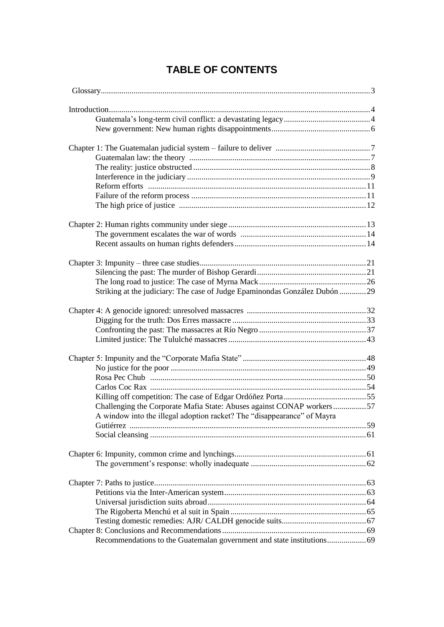# **TABLE OF CONTENTS**

| Striking at the judiciary: The case of Judge Epaminondas González Dubón 29 |  |
|----------------------------------------------------------------------------|--|
|                                                                            |  |
|                                                                            |  |
|                                                                            |  |
|                                                                            |  |
|                                                                            |  |
|                                                                            |  |
|                                                                            |  |
|                                                                            |  |
|                                                                            |  |
|                                                                            |  |
| Challenging the Corporate Mafia State: Abuses against CONAP workers57      |  |
| A window into the illegal adoption racket? The "disappearance" of Mayra    |  |
|                                                                            |  |
|                                                                            |  |
|                                                                            |  |
|                                                                            |  |
|                                                                            |  |
|                                                                            |  |
|                                                                            |  |
|                                                                            |  |
|                                                                            |  |
|                                                                            |  |
|                                                                            |  |
|                                                                            |  |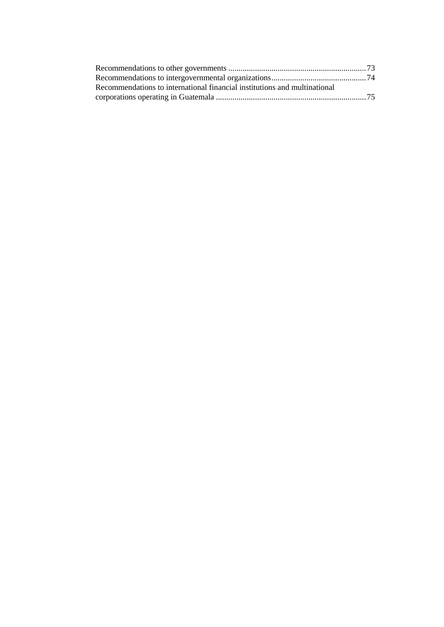| Recommendations to international financial institutions and multinational |  |
|---------------------------------------------------------------------------|--|
|                                                                           |  |
|                                                                           |  |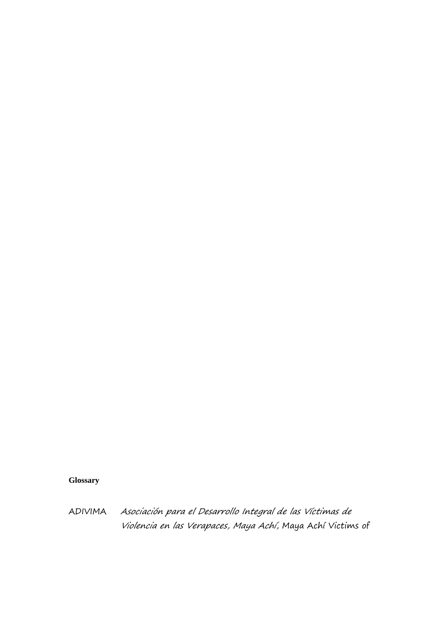## **Glossary**

ADIVIMA Asociación para el Desarrollo Integral de las Víctimas de Violencia en las Verapaces, Maya Achí, Maya Achí Victims of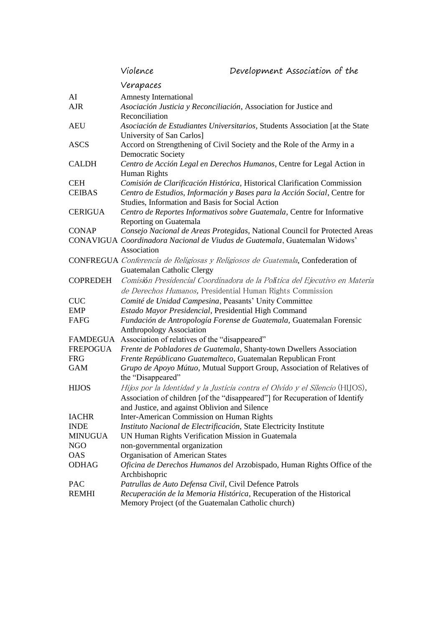|                 | Violence                                                                                                  | Development Association of the                                                                                                                              |  |
|-----------------|-----------------------------------------------------------------------------------------------------------|-------------------------------------------------------------------------------------------------------------------------------------------------------------|--|
|                 | Verapaces                                                                                                 |                                                                                                                                                             |  |
| AI              | <b>Amnesty International</b>                                                                              |                                                                                                                                                             |  |
| <b>AJR</b>      | Asociación Justicia y Reconciliación, Association for Justice and<br>Reconciliation                       |                                                                                                                                                             |  |
| <b>AEU</b>      | Asociación de Estudiantes Universitarios, Students Association [at the State<br>University of San Carlos] |                                                                                                                                                             |  |
| <b>ASCS</b>     | Accord on Strengthening of Civil Society and the Role of the Army in a<br><b>Democratic Society</b>       |                                                                                                                                                             |  |
| <b>CALDH</b>    | Centro de Acción Legal en Derechos Humanos, Centre for Legal Action in<br>Human Rights                    |                                                                                                                                                             |  |
| <b>CEH</b>      |                                                                                                           | Comisión de Clarificación Histórica, Historical Clarification Commission                                                                                    |  |
| <b>CEIBAS</b>   | Centro de Estudios, Información y Bases para la Acción Social, Centre for                                 |                                                                                                                                                             |  |
|                 | Studies, Information and Basis for Social Action                                                          |                                                                                                                                                             |  |
| <b>CERIGUA</b>  | Reporting on Guatemala                                                                                    | Centro de Reportes Informativos sobre Guatemala, Centre for Informative                                                                                     |  |
| <b>CONAP</b>    |                                                                                                           | Consejo Nacional de Areas Protegidas, National Council for Protected Areas                                                                                  |  |
|                 | Association                                                                                               | CONAVIGUA Coordinadora Nacional de Viudas de Guatemala, Guatemalan Widows'                                                                                  |  |
|                 | Guatemalan Catholic Clergy                                                                                | CONFREGUA Conferencia de Religiosas y Religiosos de Guatemala, Confederation of                                                                             |  |
| <b>COPREDEH</b> |                                                                                                           | Comisión Presidencial Coordinadora de la Política del Ejecutivo en Materia<br>de Derechos Humanos, Presidential Human Rights Commission                     |  |
| CUC             | Comité de Unidad Campesina, Peasants' Unity Committee                                                     |                                                                                                                                                             |  |
| <b>EMP</b>      | Estado Mayor Presidencial, Presidential High Command                                                      |                                                                                                                                                             |  |
| FAFG            | Fundación de Antropología Forense de Guatemala, Guatemalan Forensic<br><b>Anthropology Association</b>    |                                                                                                                                                             |  |
| FAMDEGUA        | Association of relatives of the "disappeared"                                                             |                                                                                                                                                             |  |
| <b>FREPOGUA</b> |                                                                                                           | Frente de Pobladores de Guatemala, Shanty-town Dwellers Association                                                                                         |  |
| <b>FRG</b>      |                                                                                                           | Frente Repúblicano Guatemalteco, Guatemalan Republican Front                                                                                                |  |
| <b>GAM</b>      | the "Disappeared"                                                                                         | Grupo de Apoyo Mútuo, Mutual Support Group, Association of Relatives of                                                                                     |  |
| <b>HIJOS</b>    | and Justice, and against Oblivion and Silence                                                             | Hijos por la Identidad y la Justicia contra el Olvido y el Silencio (HIJOS),<br>Association of children [of the "disappeared"] for Recuperation of Identify |  |
| <b>IACHR</b>    | <b>Inter-American Commission on Human Rights</b>                                                          |                                                                                                                                                             |  |
| <b>INDE</b>     | Instituto Nacional de Electrificación, State Electricity Institute                                        |                                                                                                                                                             |  |
| <b>MINUGUA</b>  | UN Human Rights Verification Mission in Guatemala                                                         |                                                                                                                                                             |  |
| <b>NGO</b>      | non-governmental organization                                                                             |                                                                                                                                                             |  |
| <b>OAS</b>      | <b>Organisation of American States</b>                                                                    |                                                                                                                                                             |  |
| <b>ODHAG</b>    | Archbishopric                                                                                             | Oficina de Derechos Humanos del Arzobispado, Human Rights Office of the                                                                                     |  |
| PAC             | Patrullas de Auto Defensa Civil, Civil Defence Patrols                                                    |                                                                                                                                                             |  |
| <b>REMHI</b>    | Memory Project (of the Guatemalan Catholic church)                                                        | Recuperación de la Memoria Histórica, Recuperation of the Historical                                                                                        |  |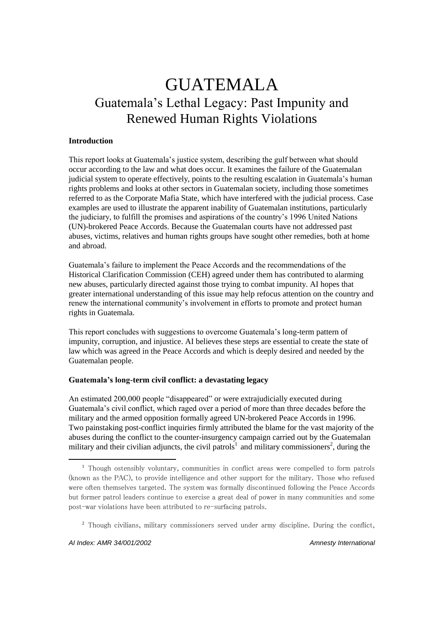# GUATEMALA Guatemala's Lethal Legacy: Past Impunity and Renewed Human Rights Violations

#### **Introduction**

This report looks at Guatemala's justice system, describing the gulf between what should occur according to the law and what does occur. It examines the failure of the Guatemalan judicial system to operate effectively, points to the resulting escalation in Guatemala's human rights problems and looks at other sectors in Guatemalan society, including those sometimes referred to as the Corporate Mafia State, which have interfered with the judicial process. Case examples are used to illustrate the apparent inability of Guatemalan institutions, particularly the judiciary, to fulfill the promises and aspirations of the country's 1996 United Nations (UN)-brokered Peace Accords. Because the Guatemalan courts have not addressed past abuses, victims, relatives and human rights groups have sought other remedies, both at home and abroad.

Guatemala's failure to implement the Peace Accords and the recommendations of the Historical Clarification Commission (CEH) agreed under them has contributed to alarming new abuses, particularly directed against those trying to combat impunity. AI hopes that greater international understanding of this issue may help refocus attention on the country and renew the international community's involvement in efforts to promote and protect human rights in Guatemala.

This report concludes with suggestions to overcome Guatemala's long-term pattern of impunity, corruption, and injustice. AI believes these steps are essential to create the state of law which was agreed in the Peace Accords and which is deeply desired and needed by the Guatemalan people.

#### **Guatemala's long-term civil conflict: a devastating legacy**

An estimated 200,000 people "disappeared" or were extrajudicially executed during Guatemala's civil conflict, which raged over a period of more than three decades before the military and the armed opposition formally agreed UN-brokered Peace Accords in 1996. Two painstaking post-conflict inquiries firmly attributed the blame for the vast majority of the abuses during the conflict to the counter-insurgency campaign carried out by the Guatemalan military and their civilian adjuncts, the civil patrols<sup>1</sup> and military commissioners<sup>2</sup>, during the

<sup>&</sup>lt;sup>1</sup> Though ostensibly voluntary, communities in conflict areas were compelled to form patrols (known as the PAC), to provide intelligence and other support for the military. Those who refused were often themselves targeted. The system was formally discontinued following the Peace Accords but former patrol leaders continue to exercise a great deal of power in many communities and some post-war violations have been attributed to re-surfacing patrols.

<sup>2</sup> Though civilians, military commissioners served under army discipline. During the conflict,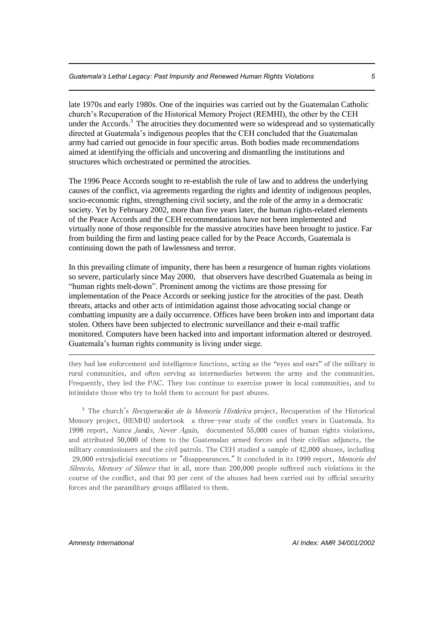late 1970s and early 1980s. One of the inquiries was carried out by the Guatemalan Catholic church's Recuperation of the Historical Memory Project (REMHI), the other by the CEH under the Accords.<sup>3</sup> The atrocities they documented were so widespread and so systematically directed at Guatemala's indigenous peoples that the CEH concluded that the Guatemalan army had carried out genocide in four specific areas. Both bodies made recommendations aimed at identifying the officials and uncovering and dismantling the institutions and structures which orchestrated or permitted the atrocities.

The 1996 Peace Accords sought to re-establish the rule of law and to address the underlying causes of the conflict, via agreements regarding the rights and identity of indigenous peoples, socio-economic rights, strengthening civil society, and the role of the army in a democratic society. Yet by February 2002, more than five years later, the human rights-related elements of the Peace Accords and the CEH recommendations have not been implemented and virtually none of those responsible for the massive atrocities have been brought to justice. Far from building the firm and lasting peace called for by the Peace Accords, Guatemala is continuing down the path of lawlessness and terror.

In this prevailing climate of impunity, there has been a resurgence of human rights violations so severe, particularly since May 2000, that observers have described Guatemala as being in "human rights melt-down". Prominent among the victims are those pressing for implementation of the Peace Accords or seeking justice for the atrocities of the past. Death threats, attacks and other acts of intimidation against those advocating social change or combatting impunity are a daily occurrence. Offices have been broken into and important data stolen. Others have been subjected to electronic surveillance and their e-mail traffic monitored. Computers have been hacked into and important information altered or destroyed. Guatemala's human rights community is living under siege.

they had law enforcement and intelligence functions, acting as the "eyes and ears" of the military in rural communities, and often serving as intermediaries between the army and the communities. Frequently, they led the PAC. They too continue to exercise power in local communities, and to intimidate those who try to hold them to account for past abuses.

<sup>3</sup> The church's Recuperaci*ó*n de la Memoria Hist*ó*rica project, Recuperation of the Historical Memory project, (REMHI) undertook a three-year study of the conflict years in Guatemala. Its 1998 report, Nunca Jam*á*s, Never Again, documented 55,000 cases of human rights violations, and attributed 50,000 of them to the Guatemalan armed forces and their civilian adjuncts, the military commissioners and the civil patrols. The CEH studied a sample of 42,000 abuses, including 29,000 extrajudicial executions or "disappearances." It concluded in its 1999 report, Memoria del Silencio, Memory of Silence that in all, more than 200,000 people suffered such violations in the course of the conflict, and that 93 per cent of the abuses had been carried out by official security forces and the paramilitary groups affiliated to them.

<u>.</u>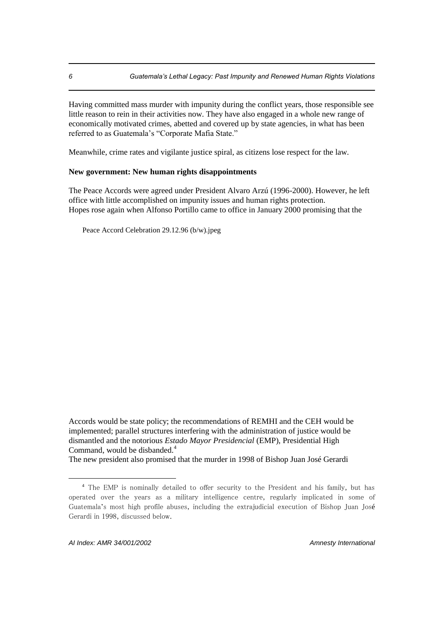Having committed mass murder with impunity during the conflict years, those responsible see little reason to rein in their activities now. They have also engaged in a whole new range of economically motivated crimes, abetted and covered up by state agencies, in what has been referred to as Guatemala's "Corporate Mafia State."

Meanwhile, crime rates and vigilante justice spiral, as citizens lose respect for the law.

#### **New government: New human rights disappointments**

The Peace Accords were agreed under President Alvaro Arzú (1996-2000). However, he left office with little accomplished on impunity issues and human rights protection. Hopes rose again when Alfonso Portillo came to office in January 2000 promising that the

Peace Accord Celebration 29.12.96 (b/w).jpeg

Accords would be state policy; the recommendations of REMHI and the CEH would be implemented; parallel structures interfering with the administration of justice would be dismantled and the notorious *Estado Mayor Presidencial* (EMP), Presidential High Command, would be disbanded.<sup>4</sup>

The new president also promised that the murder in 1998 of Bishop Juan José Gerardi

<sup>4</sup> The EMP is nominally detailed to offer security to the President and his family, but has operated over the years as a military intelligence centre, regularly implicated in some of Guatemala's most high profile abuses, including the extrajudicial execution of Bishop Juan José Gerardi in 1998, discussed below.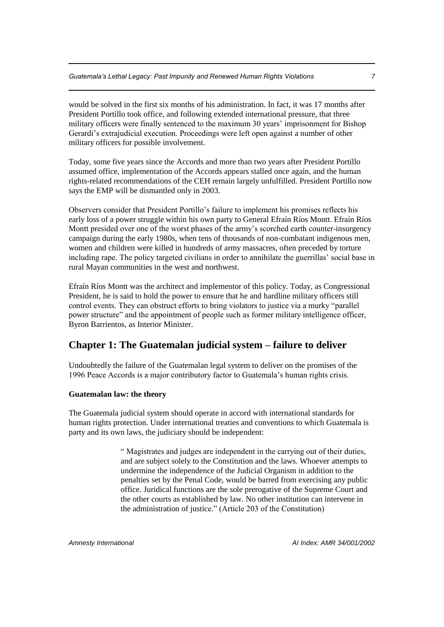would be solved in the first six months of his administration. In fact, it was 17 months after President Portillo took office, and following extended international pressure, that three military officers were finally sentenced to the maximum 30 years' imprisonment for Bishop Gerardi's extrajudicial execution. Proceedings were left open against a number of other military officers for possible involvement.

Today, some five years since the Accords and more than two years after President Portillo assumed office, implementation of the Accords appears stalled once again, and the human rights-related recommendations of the CEH remain largely unfulfilled. President Portillo now says the EMP will be dismantled only in 2003.

Observers consider that President Portillo's failure to implement his promises reflects his early loss of a power struggle within his own party to General Efraín Ríos Montt. Efraín Ríos Montt presided over one of the worst phases of the army's scorched earth counter-insurgency campaign during the early 1980s, when tens of thousands of non-combatant indigenous men, women and children were killed in hundreds of army massacres, often preceded by torture including rape. The policy targeted civilians in order to annihilate the guerrillas' social base in rural Mayan communities in the west and northwest.

Efraín Ríos Montt was the architect and implementor of this policy. Today, as Congressional President, he is said to hold the power to ensure that he and hardline military officers still control events. They can obstruct efforts to bring violators to justice via a murky "parallel power structure" and the appointment of people such as former military intelligence officer, Byron Barrientos, as Interior Minister.

# **Chapter 1: The Guatemalan judicial system – failure to deliver**

Undoubtedly the failure of the Guatemalan legal system to deliver on the promises of the 1996 Peace Accords is a major contributory factor to Guatemala's human rights crisis.

#### **Guatemalan law: the theory**

The Guatemala judicial system should operate in accord with international standards for human rights protection. Under international treaties and conventions to which Guatemala is party and its own laws, the judiciary should be independent:

> " Magistrates and judges are independent in the carrying out of their duties, and are subject solely to the Constitution and the laws. Whoever attempts to undermine the independence of the Judicial Organism in addition to the penalties set by the Penal Code, would be barred from exercising any public office. Juridical functions are the sole prerogative of the Supreme Court and the other courts as established by law. No other institution can intervene in the administration of justice." (Article 203 of the Constitution)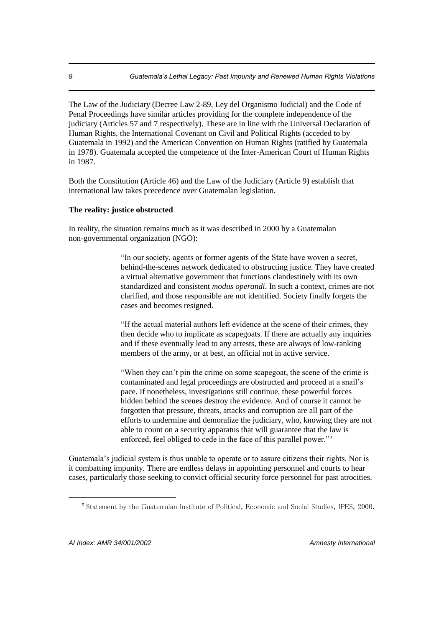The Law of the Judiciary (Decree Law 2-89, Ley del Organismo Judicial) and the Code of Penal Proceedings have similar articles providing for the complete independence of the judiciary (Articles 57 and 7 respectively). These are in line with the Universal Declaration of Human Rights, the International Covenant on Civil and Political Rights (acceded to by Guatemala in 1992) and the American Convention on Human Rights (ratified by Guatemala in 1978). Guatemala accepted the competence of the Inter-American Court of Human Rights in 1987.

Both the Constitution (Article 46) and the Law of the Judiciary (Article 9) establish that international law takes precedence over Guatemalan legislation.

#### **The reality: justice obstructed**

In reality, the situation remains much as it was described in 2000 by a Guatemalan non-governmental organization (NGO):

> "In our society, agents or former agents of the State have woven a secret, behind-the-scenes network dedicated to obstructing justice. They have created a virtual alternative government that functions clandestinely with its own standardized and consistent *modus operandi*. In such a context, crimes are not clarified, and those responsible are not identified. Society finally forgets the cases and becomes resigned.

"If the actual material authors left evidence at the scene of their crimes, they then decide who to implicate as scapegoats. If there are actually any inquiries and if these eventually lead to any arrests, these are always of low-ranking members of the army, or at best, an official not in active service.

"When they can't pin the crime on some scapegoat, the scene of the crime is contaminated and legal proceedings are obstructed and proceed at a snail's pace. If nonetheless, investigations still continue, these powerful forces hidden behind the scenes destroy the evidence. And of course it cannot be forgotten that pressure, threats, attacks and corruption are all part of the efforts to undermine and demoralize the judiciary, who, knowing they are not able to count on a security apparatus that will guarantee that the law is enforced, feel obliged to cede in the face of this parallel power."<sup>5</sup>

Guatemala's judicial system is thus unable to operate or to assure citizens their rights. Nor is it combatting impunity. There are endless delays in appointing personnel and courts to hear cases, particularly those seeking to convict official security force personnel for past atrocities.

<sup>5</sup> Statement by the Guatemalan Institute of Political, Economic and Social Studies, IPES, 2000.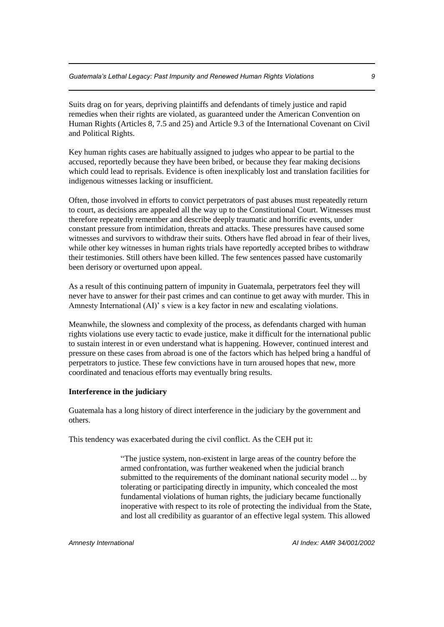Suits drag on for years, depriving plaintiffs and defendants of timely justice and rapid remedies when their rights are violated, as guaranteed under the American Convention on Human Rights (Articles 8, 7.5 and 25) and Article 9.3 of the International Covenant on Civil and Political Rights.

Key human rights cases are habitually assigned to judges who appear to be partial to the accused, reportedly because they have been bribed, or because they fear making decisions which could lead to reprisals. Evidence is often inexplicably lost and translation facilities for indigenous witnesses lacking or insufficient.

Often, those involved in efforts to convict perpetrators of past abuses must repeatedly return to court, as decisions are appealed all the way up to the Constitutional Court. Witnesses must therefore repeatedly remember and describe deeply traumatic and horrific events, under constant pressure from intimidation, threats and attacks. These pressures have caused some witnesses and survivors to withdraw their suits. Others have fled abroad in fear of their lives, while other key witnesses in human rights trials have reportedly accepted bribes to withdraw their testimonies. Still others have been killed. The few sentences passed have customarily been derisory or overturned upon appeal.

As a result of this continuing pattern of impunity in Guatemala, perpetrators feel they will never have to answer for their past crimes and can continue to get away with murder. This in Amnesty International (AI)' s view is a key factor in new and escalating violations.

Meanwhile, the slowness and complexity of the process, as defendants charged with human rights violations use every tactic to evade justice, make it difficult for the international public to sustain interest in or even understand what is happening. However, continued interest and pressure on these cases from abroad is one of the factors which has helped bring a handful of perpetrators to justice. These few convictions have in turn aroused hopes that new, more coordinated and tenacious efforts may eventually bring results.

#### **Interference in the judiciary**

Guatemala has a long history of direct interference in the judiciary by the government and others.

This tendency was exacerbated during the civil conflict. As the CEH put it:

"The justice system, non-existent in large areas of the country before the armed confrontation, was further weakened when the judicial branch submitted to the requirements of the dominant national security model ... by tolerating or participating directly in impunity, which concealed the most fundamental violations of human rights, the judiciary became functionally inoperative with respect to its role of protecting the individual from the State, and lost all credibility as guarantor of an effective legal system. This allowed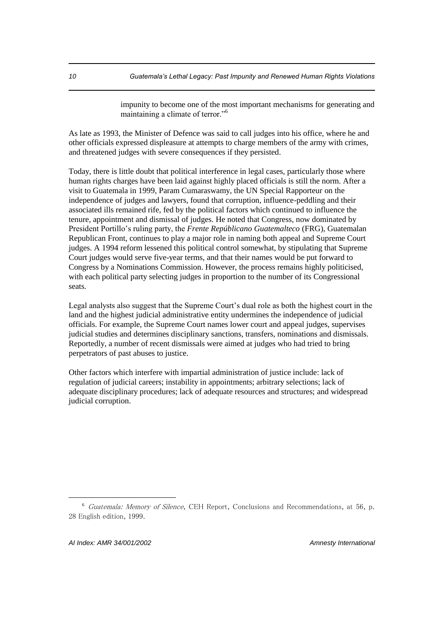impunity to become one of the most important mechanisms for generating and maintaining a climate of terror."<sup>6</sup>

As late as 1993, the Minister of Defence was said to call judges into his office, where he and other officials expressed displeasure at attempts to charge members of the army with crimes, and threatened judges with severe consequences if they persisted.

Today, there is little doubt that political interference in legal cases, particularly those where human rights charges have been laid against highly placed officials is still the norm. After a visit to Guatemala in 1999, Param Cumaraswamy, the UN Special Rapporteur on the independence of judges and lawyers, found that corruption, influence-peddling and their associated ills remained rife, fed by the political factors which continued to influence the tenure, appointment and dismissal of judges. He noted that Congress, now dominated by President Portillo's ruling party, the *Frente Repúblicano Guatemalteco* (FRG), Guatemalan Republican Front, continues to play a major role in naming both appeal and Supreme Court judges. A 1994 reform lessened this political control somewhat, by stipulating that Supreme Court judges would serve five-year terms, and that their names would be put forward to Congress by a Nominations Commission. However, the process remains highly politicised, with each political party selecting judges in proportion to the number of its Congressional seats.

Legal analysts also suggest that the Supreme Court's dual role as both the highest court in the land and the highest judicial administrative entity undermines the independence of judicial officials. For example, the Supreme Court names lower court and appeal judges, supervises judicial studies and determines disciplinary sanctions, transfers, nominations and dismissals. Reportedly, a number of recent dismissals were aimed at judges who had tried to bring perpetrators of past abuses to justice.

Other factors which interfere with impartial administration of justice include: lack of regulation of judicial careers; instability in appointments; arbitrary selections; lack of adequate disciplinary procedures; lack of adequate resources and structures; and widespread judicial corruption.

<sup>6</sup> Guatemala: Memory of Silence, CEH Report, Conclusions and Recommendations, at 56, p. 28 English edition, 1999.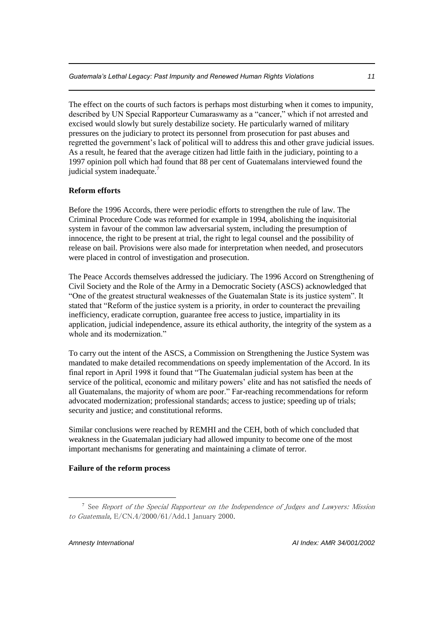The effect on the courts of such factors is perhaps most disturbing when it comes to impunity, described by UN Special Rapporteur Cumaraswamy as a "cancer," which if not arrested and excised would slowly but surely destabilize society. He particularly warned of military pressures on the judiciary to protect its personnel from prosecution for past abuses and regretted the government's lack of political will to address this and other grave judicial issues. As a result, he feared that the average citizen had little faith in the judiciary, pointing to a 1997 opinion poll which had found that 88 per cent of Guatemalans interviewed found the judicial system inadequate. $\overline{1}$ 

#### **Reform efforts**

Before the 1996 Accords, there were periodic efforts to strengthen the rule of law. The Criminal Procedure Code was reformed for example in 1994, abolishing the inquisitorial system in favour of the common law adversarial system, including the presumption of innocence, the right to be present at trial, the right to legal counsel and the possibility of release on bail. Provisions were also made for interpretation when needed, and prosecutors were placed in control of investigation and prosecution.

The Peace Accords themselves addressed the judiciary. The 1996 Accord on Strengthening of Civil Society and the Role of the Army in a Democratic Society (ASCS) acknowledged that "One of the greatest structural weaknesses of the Guatemalan State is its justice system". It stated that "Reform of the justice system is a priority, in order to counteract the prevailing inefficiency, eradicate corruption, guarantee free access to justice, impartiality in its application, judicial independence, assure its ethical authority, the integrity of the system as a whole and its modernization."

To carry out the intent of the ASCS, a Commission on Strengthening the Justice System was mandated to make detailed recommendations on speedy implementation of the Accord. In its final report in April 1998 it found that "The Guatemalan judicial system has been at the service of the political, economic and military powers' elite and has not satisfied the needs of all Guatemalans, the majority of whom are poor." Far-reaching recommendations for reform advocated modernization; professional standards; access to justice; speeding up of trials; security and justice; and constitutional reforms.

Similar conclusions were reached by REMHI and the CEH, both of which concluded that weakness in the Guatemalan judiciary had allowed impunity to become one of the most important mechanisms for generating and maintaining a climate of terror.

#### **Failure of the reform process**

<sup>&</sup>lt;sup>7</sup> See Report of the Special Rapporteur on the Independence of Judges and Lawyers: Mission to Guatemala, E/CN.4/2000/61/Add.1 January 2000.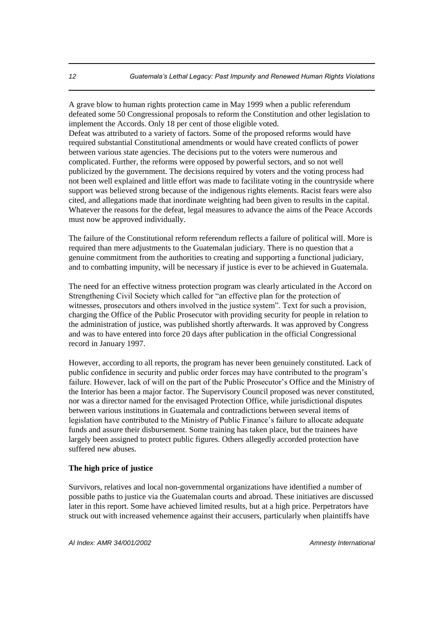A grave blow to human rights protection came in May 1999 when a public referendum defeated some 50 Congressional proposals to reform the Constitution and other legislation to implement the Accords. Only 18 per cent of those eligible voted. Defeat was attributed to a variety of factors. Some of the proposed reforms would have required substantial Constitutional amendments or would have created conflicts of power between various state agencies. The decisions put to the voters were numerous and complicated. Further, the reforms were opposed by powerful sectors, and so not well publicized by the government. The decisions required by voters and the voting process had not been well explained and little effort was made to facilitate voting in the countryside where support was believed strong because of the indigenous rights elements. Racist fears were also cited, and allegations made that inordinate weighting had been given to results in the capital. Whatever the reasons for the defeat, legal measures to advance the aims of the Peace Accords must now be approved individually.

The failure of the Constitutional reform referendum reflects a failure of political will. More is required than mere adjustments to the Guatemalan judiciary. There is no question that a genuine commitment from the authorities to creating and supporting a functional judiciary, and to combatting impunity, will be necessary if justice is ever to be achieved in Guatemala.

The need for an effective witness protection program was clearly articulated in the Accord on Strengthening Civil Society which called for "an effective plan for the protection of witnesses, prosecutors and others involved in the justice system". Text for such a provision, charging the Office of the Public Prosecutor with providing security for people in relation to the administration of justice, was published shortly afterwards. It was approved by Congress and was to have entered into force 20 days after publication in the official Congressional record in January 1997.

However, according to all reports, the program has never been genuinely constituted. Lack of public confidence in security and public order forces may have contributed to the program's failure. However, lack of will on the part of the Public Prosecutor's Office and the Ministry of the Interior has been a major factor. The Supervisory Council proposed was never constituted, nor was a director named for the envisaged Protection Office, while jurisdictional disputes between various institutions in Guatemala and contradictions between several items of legislation have contributed to the Ministry of Public Finance's failure to allocate adequate funds and assure their disbursement. Some training has taken place, but the trainees have largely been assigned to protect public figures. Others allegedly accorded protection have suffered new abuses.

#### **The high price of justice**

Survivors, relatives and local non-governmental organizations have identified a number of possible paths to justice via the Guatemalan courts and abroad. These initiatives are discussed later in this report. Some have achieved limited results, but at a high price. Perpetrators have struck out with increased vehemence against their accusers, particularly when plaintiffs have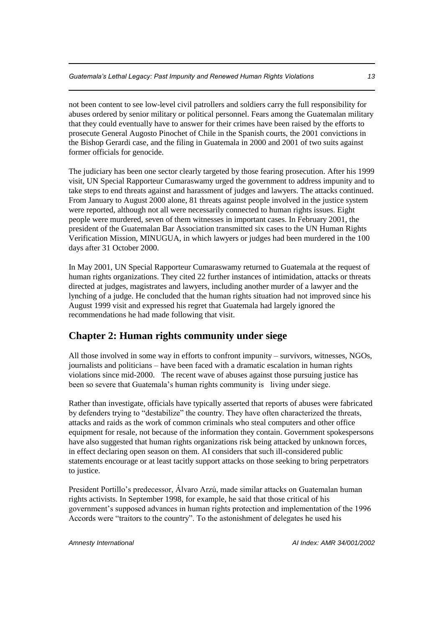not been content to see low-level civil patrollers and soldiers carry the full responsibility for abuses ordered by senior military or political personnel. Fears among the Guatemalan military that they could eventually have to answer for their crimes have been raised by the efforts to prosecute General Augosto Pinochet of Chile in the Spanish courts, the 2001 convictions in the Bishop Gerardi case, and the filing in Guatemala in 2000 and 2001 of two suits against former officials for genocide.

The judiciary has been one sector clearly targeted by those fearing prosecution. After his 1999 visit, UN Special Rapporteur Cumaraswamy urged the government to address impunity and to take steps to end threats against and harassment of judges and lawyers. The attacks continued. From January to August 2000 alone, 81 threats against people involved in the justice system were reported, although not all were necessarily connected to human rights issues. Eight people were murdered, seven of them witnesses in important cases. In February 2001, the president of the Guatemalan Bar Association transmitted six cases to the UN Human Rights Verification Mission, MINUGUA, in which lawyers or judges had been murdered in the 100 days after 31 October 2000.

In May 2001, UN Special Rapporteur Cumaraswamy returned to Guatemala at the request of human rights organizations. They cited 22 further instances of intimidation, attacks or threats directed at judges, magistrates and lawyers, including another murder of a lawyer and the lynching of a judge. He concluded that the human rights situation had not improved since his August 1999 visit and expressed his regret that Guatemala had largely ignored the recommendations he had made following that visit.

# **Chapter 2: Human rights community under siege**

All those involved in some way in efforts to confront impunity – survivors, witnesses, NGOs, journalists and politicians – have been faced with a dramatic escalation in human rights violations since mid-2000. The recent wave of abuses against those pursuing justice has been so severe that Guatemala's human rights community is living under siege.

Rather than investigate, officials have typically asserted that reports of abuses were fabricated by defenders trying to "destabilize" the country. They have often characterized the threats, attacks and raids as the work of common criminals who steal computers and other office equipment for resale, not because of the information they contain. Government spokespersons have also suggested that human rights organizations risk being attacked by unknown forces, in effect declaring open season on them. AI considers that such ill-considered public statements encourage or at least tacitly support attacks on those seeking to bring perpetrators to justice.

President Portillo's predecessor, Álvaro Arzú, made similar attacks on Guatemalan human rights activists. In September 1998, for example, he said that those critical of his government's supposed advances in human rights protection and implementation of the 1996 Accords were "traitors to the country". To the astonishment of delegates he used his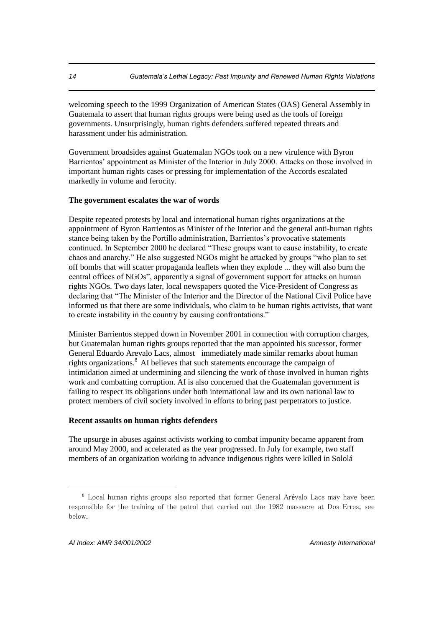welcoming speech to the 1999 Organization of American States (OAS) General Assembly in Guatemala to assert that human rights groups were being used as the tools of foreign governments. Unsurprisingly, human rights defenders suffered repeated threats and harassment under his administration.

Government broadsides against Guatemalan NGOs took on a new virulence with Byron Barrientos' appointment as Minister of the Interior in July 2000. Attacks on those involved in important human rights cases or pressing for implementation of the Accords escalated markedly in volume and ferocity.

#### **The government escalates the war of words**

Despite repeated protests by local and international human rights organizations at the appointment of Byron Barrientos as Minister of the Interior and the general anti-human rights stance being taken by the Portillo administration, Barrientos's provocative statements continued. In September 2000 he declared "These groups want to cause instability, to create chaos and anarchy." He also suggested NGOs might be attacked by groups "who plan to set off bombs that will scatter propaganda leaflets when they explode ... they will also burn the central offices of NGOs", apparently a signal of government support for attacks on human rights NGOs. Two days later, local newspapers quoted the Vice-President of Congress as declaring that "The Minister of the Interior and the Director of the National Civil Police have informed us that there are some individuals, who claim to be human rights activists, that want to create instability in the country by causing confrontations."

Minister Barrientos stepped down in November 2001 in connection with corruption charges, but Guatemalan human rights groups reported that the man appointed his sucessor, former General Eduardo Arevalo Lacs, almost immediately made similar remarks about human rights organizations.<sup>8</sup> AI believes that such statements encourage the campaign of intimidation aimed at undermining and silencing the work of those involved in human rights work and combatting corruption. AI is also concerned that the Guatemalan government is failing to respect its obligations under both international law and its own national law to protect members of civil society involved in efforts to bring past perpetrators to justice.

#### **Recent assaults on human rights defenders**

The upsurge in abuses against activists working to combat impunity became apparent from around May 2000, and accelerated as the year progressed. In July for example, two staff members of an organization working to advance indigenous rights were killed in Sololá

<sup>8</sup>Local human rights groups also reported that former General Arévalo Lacs may have been responsible for the training of the patrol that carried out the 1982 massacre at Dos Erres, see below.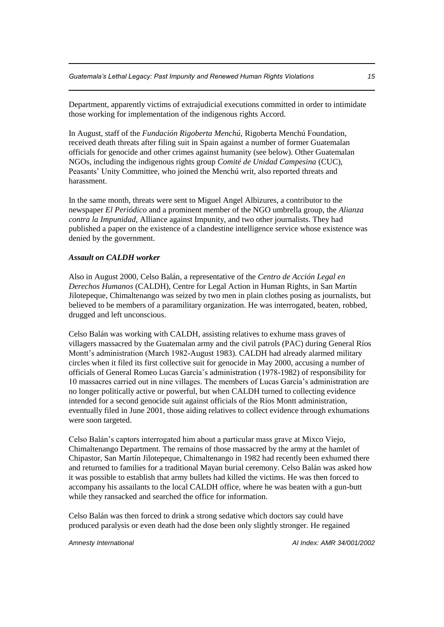Department, apparently victims of extrajudicial executions committed in order to intimidate those working for implementation of the indigenous rights Accord.

In August, staff of the *Fundación Rigoberta Menchú,* Rigoberta Menchú Foundation, received death threats after filing suit in Spain against a number of former Guatemalan officials for genocide and other crimes against humanity (see below). Other Guatemalan NGOs, including the indigenous rights group *Comité de Unidad Campesina* (CUC), Peasants' Unity Committee, who joined the Menchú writ, also reported threats and harassment.

In the same month, threats were sent to Miguel Angel Albizures, a contributor to the newspaper *El Periódico* and a prominent member of the NGO umbrella group, the *Alianza contra la Impunidad,* Alliance against Impunity, and two other journalists. They had published a paper on the existence of a clandestine intelligence service whose existence was denied by the government.

#### *Assault on CALDH worker*

Also in August 2000, Celso Balán, a representative of the *Centro de Acción Legal en Derechos Humanos* (CALDH), Centre for Legal Action in Human Rights, in San Martín Jilotepeque, Chimaltenango was seized by two men in plain clothes posing as journalists, but believed to be members of a paramilitary organization. He was interrogated, beaten, robbed, drugged and left unconscious.

Celso Balán was working with CALDH, assisting relatives to exhume mass graves of villagers massacred by the Guatemalan army and the civil patrols (PAC) during General Ríos Montt's administration (March 1982-August 1983). CALDH had already alarmed military circles when it filed its first collective suit for genocide in May 2000, accusing a number of officials of General Romeo Lucas García's administration (1978-1982) of responsibility for 10 massacres carried out in nine villages. The members of Lucas García's administration are no longer politically active or powerful, but when CALDH turned to collecting evidence intended for a second genocide suit against officials of the Ríos Montt administration, eventually filed in June 2001, those aiding relatives to collect evidence through exhumations were soon targeted.

Celso Balán's captors interrogated him about a particular mass grave at Mixco Viejo, Chimaltenango Department. The remains of those massacred by the army at the hamlet of Chipastor, San Martín Jilotepeque, Chimaltenango in 1982 had recently been exhumed there and returned to families for a traditional Mayan burial ceremony. Celso Balán was asked how it was possible to establish that army bullets had killed the victims. He was then forced to accompany his assailants to the local CALDH office, where he was beaten with a gun-butt while they ransacked and searched the office for information.

Celso Balán was then forced to drink a strong sedative which doctors say could have produced paralysis or even death had the dose been only slightly stronger. He regained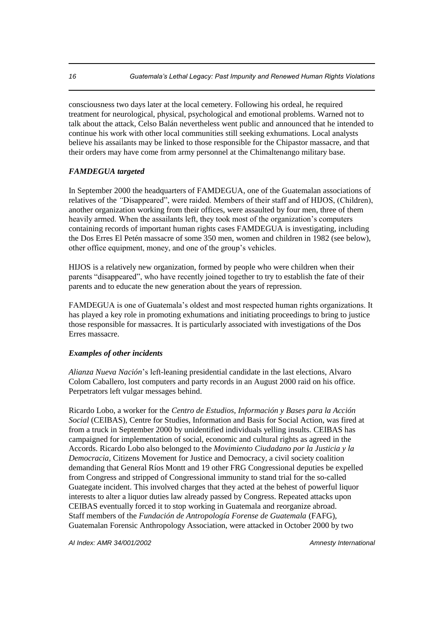consciousness two days later at the local cemetery. Following his ordeal, he required treatment for neurological, physical, psychological and emotional problems. Warned not to talk about the attack, Celso Balán nevertheless went public and announced that he intended to continue his work with other local communities still seeking exhumations. Local analysts believe his assailants may be linked to those responsible for the Chipastor massacre, and that their orders may have come from army personnel at the Chimaltenango military base.

#### *FAMDEGUA targeted*

In September 2000 the headquarters of FAMDEGUA, one of the Guatemalan associations of relatives of the *"*Disappeared", were raided. Members of their staff and of HIJOS, (Children), another organization working from their offices, were assaulted by four men, three of them heavily armed. When the assailants left, they took most of the organization's computers containing records of important human rights cases FAMDEGUA is investigating, including the Dos Erres El Petén massacre of some 350 men, women and children in 1982 (see below), other office equipment, money, and one of the group's vehicles.

HIJOS is a relatively new organization, formed by people who were children when their parents "disappeared", who have recently joined together to try to establish the fate of their parents and to educate the new generation about the years of repression.

FAMDEGUA is one of Guatemala's oldest and most respected human rights organizations. It has played a key role in promoting exhumations and initiating proceedings to bring to justice those responsible for massacres. It is particularly associated with investigations of the Dos Erres massacre.

#### *Examples of other incidents*

*Alianza Nueva Nación*'s left-leaning presidential candidate in the last elections, Alvaro Colom Caballero, lost computers and party records in an August 2000 raid on his office. Perpetrators left vulgar messages behind.

Ricardo Lobo, a worker for the *Centro de Estudios, Información y Bases para la Acción Social* (CEIBAS), Centre for Studies, Information and Basis for Social Action, was fired at from a truck in September 2000 by unidentified individuals yelling insults*.* CEIBAS has campaigned for implementation of social, economic and cultural rights as agreed in the Accords. Ricardo Lobo also belonged to the *Movimiento Ciudadano por la Justicia y la Democracia*, Citizens Movement for Justice and Democracy, a civil society coalition demanding that General Ríos Montt and 19 other FRG Congressional deputies be expelled from Congress and stripped of Congressional immunity to stand trial for the so-called Guategate incident. This involved charges that they acted at the behest of powerful liquor interests to alter a liquor duties law already passed by Congress. Repeated attacks upon CEIBAS eventually forced it to stop working in Guatemala and reorganize abroad. Staff members of the *Fundación de Antropología Forense de Guatemala* (FAFG), Guatemalan Forensic Anthropology Association, were attacked in October 2000 by two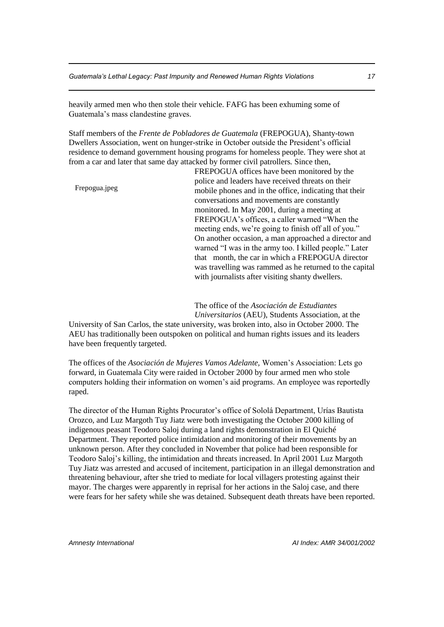heavily armed men who then stole their vehicle. FAFG has been exhuming some of Guatemala's mass clandestine graves.

Staff members of the *Frente de Pobladores de Guatemala* (FREPOGUA), Shanty-town Dwellers Association, went on hunger-strike in October outside the President's official residence to demand government housing programs for homeless people. They were shot at from a car and later that same day attacked by former civil patrollers*.* Since then,

Frepogua.jpeg

FREPOGUA offices have been monitored by the police and leaders have received threats on their mobile phones and in the office, indicating that their conversations and movements are constantly monitored. In May 2001, during a meeting at FREPOGUA's offices, a caller warned "When the meeting ends, we're going to finish off all of you." On another occasion, a man approached a director and warned "I was in the army too. I killed people." Later that month, the car in which a FREPOGUA director was travelling was rammed as he returned to the capital with journalists after visiting shanty dwellers.

The office of the *Asociación de Estudiantes Universitarios* (AEU), Students Association, at the

University of San Carlos, the state university, was broken into, also in October 2000. The AEU has traditionally been outspoken on political and human rights issues and its leaders have been frequently targeted.

The offices of the *Asociación de Mujeres Vamos Adelante,* Women's Association: Lets go forward, in Guatemala City were raided in October 2000 by four armed men who stole computers holding their information on women's aid programs. An employee was reportedly raped.

The director of the Human Rights Procurator's office of Sololá Department, Urías Bautista Orozco, and Luz Margoth Tuy Jiatz were both investigating the October 2000 killing of indigenous peasant Teodoro Saloj during a land rights demonstration in El Quiché Department. They reported police intimidation and monitoring of their movements by an unknown person. After they concluded in November that police had been responsible for Teodoro Saloj's killing, the intimidation and threats increased. In April 2001 Luz Margoth Tuy Jiatz was arrested and accused of incitement, participation in an illegal demonstration and threatening behaviour, after she tried to mediate for local villagers protesting against their mayor. The charges were apparently in reprisal for her actions in the Saloj case, and there were fears for her safety while she was detained. Subsequent death threats have been reported.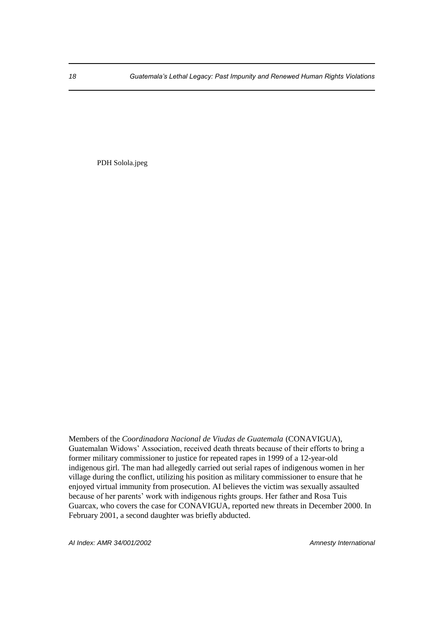PDH Solola.jpeg

Members of the *Coordinadora Nacional de Viudas de Guatemala* (CONAVIGUA), Guatemalan Widows' Association, received death threats because of their efforts to bring a former military commissioner to justice for repeated rapes in 1999 of a 12-year-old indigenous girl. The man had allegedly carried out serial rapes of indigenous women in her village during the conflict, utilizing his position as military commissioner to ensure that he enjoyed virtual immunity from prosecution. AI believes the victim was sexually assaulted because of her parents' work with indigenous rights groups. Her father and Rosa Tuis Guarcax, who covers the case for CONAVIGUA, reported new threats in December 2000. In February 2001, a second daughter was briefly abducted.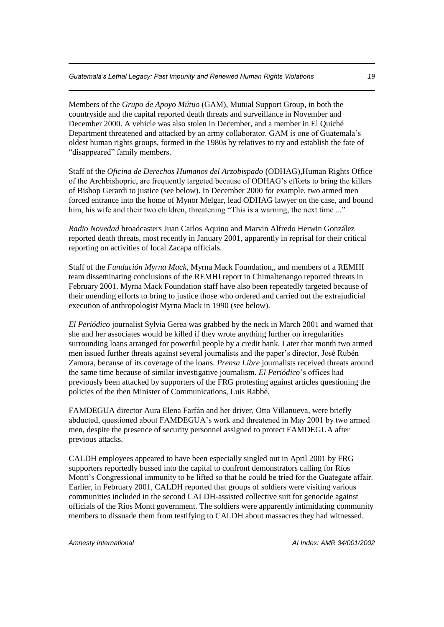Members of the *Grupo de Apoyo Mútuo* (GAM), Mutual Support Group, in both the countryside and the capital reported death threats and surveillance in November and December 2000. A vehicle was also stolen in December, and a member in El Quiché Department threatened and attacked by an army collaborator. GAM is one of Guatemala's oldest human rights groups, formed in the 1980s by relatives to try and establish the fate of "disappeared" family members.

Staff of the *Oficina de Derechos Humanos del Arzobispado* (ODHAG)*,*Human Rights Office of the Archbishopric, are frequently targeted because of ODHAG's efforts to bring the killers of Bishop Gerardi to justice (see below). In December 2000 for example, two armed men forced entrance into the home of Mynor Melgar, lead ODHAG lawyer on the case, and bound him, his wife and their two children, threatening "This is a warning, the next time ..."

*Radio Novedad* broadcasters Juan Carlos Aquino and Marvin Alfredo Herwin González reported death threats, most recently in January 2001, apparently in reprisal for their critical reporting on activities of local Zacapa officials.

Staff of the *Fundación Myrna Mack*, Myrna Mack Foundation,, and members of a REMHI team disseminating conclusions of the REMHI report in Chimaltenango reported threats in February 2001. Myrna Mack Foundation staff have also been repeatedly targeted because of their unending efforts to bring to justice those who ordered and carried out the extrajudicial execution of anthropologist Myrna Mack in 1990 (see below).

*El Periódico* journalist Sylvia Gerea was grabbed by the neck in March 2001 and warned that she and her associates would be killed if they wrote anything further on irregularities surrounding loans arranged for powerful people by a credit bank. Later that month two armed men issued further threats against several journalists and the paper's director, José Rubén Zamora, because of its coverage of the loans. *Prensa Libre* journalists received threats around the same time because of similar investigative journalism. *El Periódico*'s offices had previously been attacked by supporters of the FRG protesting against articles questioning the policies of the then Minister of Communications, Luis Rabbé.

FAMDEGUA director Aura Elena Farfán and her driver, Otto Villanueva, were briefly abducted, questioned about FAMDEGUA's work and threatened in May 2001 by two armed men, despite the presence of security personnel assigned to protect FAMDEGUA after previous attacks.

CALDH employees appeared to have been especially singled out in April 2001 by FRG supporters reportedly bussed into the capital to confront demonstrators calling for Ríos Montt's Congressional immunity to be lifted so that he could be tried for the Guategate affair. Earlier, in February 2001, CALDH reported that groups of soldiers were visiting various communities included in the second CALDH-assisted collective suit for genocide against officials of the Ríos Montt government. The soldiers were apparently intimidating community members to dissuade them from testifying to CALDH about massacres they had witnessed.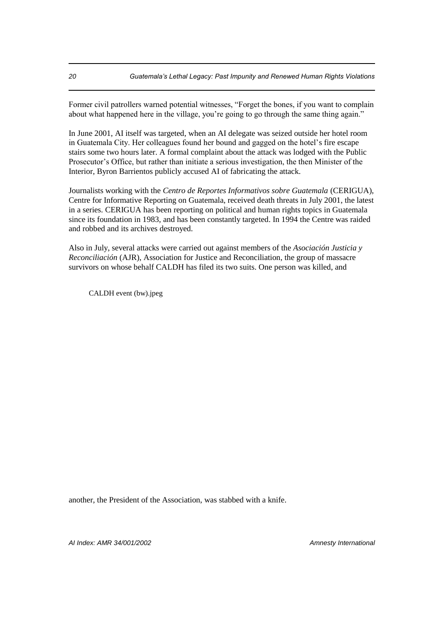Former civil patrollers warned potential witnesses, "Forget the bones, if you want to complain about what happened here in the village, you're going to go through the same thing again."

In June 2001, AI itself was targeted, when an AI delegate was seized outside her hotel room in Guatemala City. Her colleagues found her bound and gagged on the hotel's fire escape stairs some two hours later. A formal complaint about the attack was lodged with the Public Prosecutor's Office, but rather than initiate a serious investigation, the then Minister of the Interior, Byron Barrientos publicly accused AI of fabricating the attack.

Journalists working with the *Centro de Reportes Informativos sobre Guatemala* (CERIGUA), Centre for Informative Reporting on Guatemala, received death threats in July 2001, the latest in a series. CERIGUA has been reporting on political and human rights topics in Guatemala since its foundation in 1983, and has been constantly targeted. In 1994 the Centre was raided and robbed and its archives destroyed.

Also in July, several attacks were carried out against members of the *Asociación Justicia y Reconciliación* (AJR), Association for Justice and Reconciliation, the group of massacre survivors on whose behalf CALDH has filed its two suits. One person was killed, and

CALDH event (bw).jpeg

another, the President of the Association, was stabbed with a knife.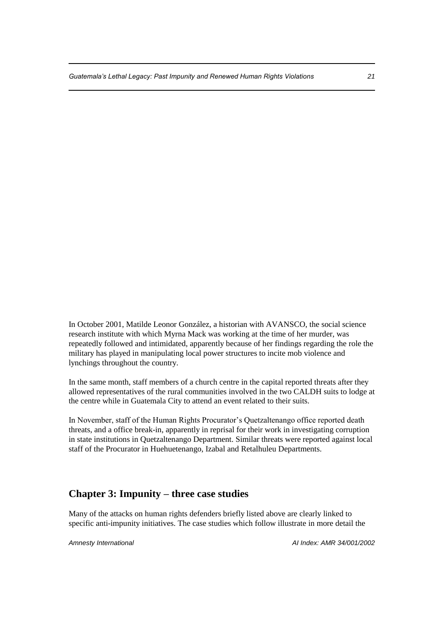In October 2001, Matilde Leonor González, a historian with AVANSCO, the social science research institute with which Myrna Mack was working at the time of her murder, was repeatedly followed and intimidated, apparently because of her findings regarding the role the military has played in manipulating local power structures to incite mob violence and lynchings throughout the country.

In the same month, staff members of a church centre in the capital reported threats after they allowed representatives of the rural communities involved in the two CALDH suits to lodge at the centre while in Guatemala City to attend an event related to their suits.

In November, staff of the Human Rights Procurator's Quetzaltenango office reported death threats, and a office break-in, apparently in reprisal for their work in investigating corruption in state institutions in Quetzaltenango Department. Similar threats were reported against local staff of the Procurator in Huehuetenango, Izabal and Retalhuleu Departments.

# **Chapter 3: Impunity – three case studies**

Many of the attacks on human rights defenders briefly listed above are clearly linked to specific anti-impunity initiatives. The case studies which follow illustrate in more detail the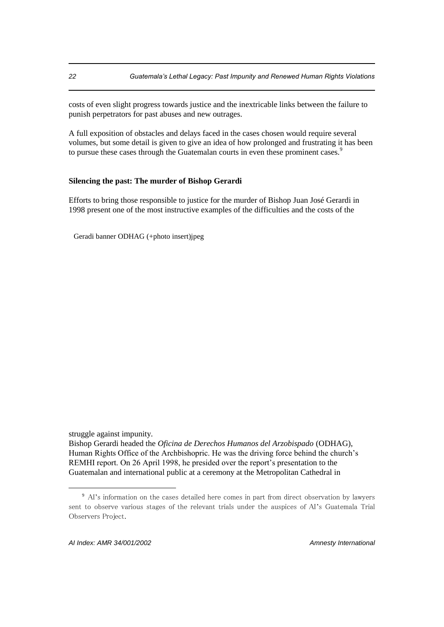costs of even slight progress towards justice and the inextricable links between the failure to punish perpetrators for past abuses and new outrages.

A full exposition of obstacles and delays faced in the cases chosen would require several volumes, but some detail is given to give an idea of how prolonged and frustrating it has been to pursue these cases through the Guatemalan courts in even these prominent cases.<sup>9</sup>

#### **Silencing the past: The murder of Bishop Gerardi**

Efforts to bring those responsible to justice for the murder of Bishop Juan José Gerardi in 1998 present one of the most instructive examples of the difficulties and the costs of the

Geradi banner ODHAG (+photo insert)jpeg

struggle against impunity.

Bishop Gerardi headed the *Oficina de Derechos Humanos del Arzobispado* (ODHAG), Human Rights Office of the Archbishopric. He was the driving force behind the church's REMHI report. On 26 April 1998, he presided over the report's presentation to the Guatemalan and international public at a ceremony at the Metropolitan Cathedral in

<sup>9</sup> AI's information on the cases detailed here comes in part from direct observation by lawyers sent to observe various stages of the relevant trials under the auspices of AI's Guatemala Trial Observers Project.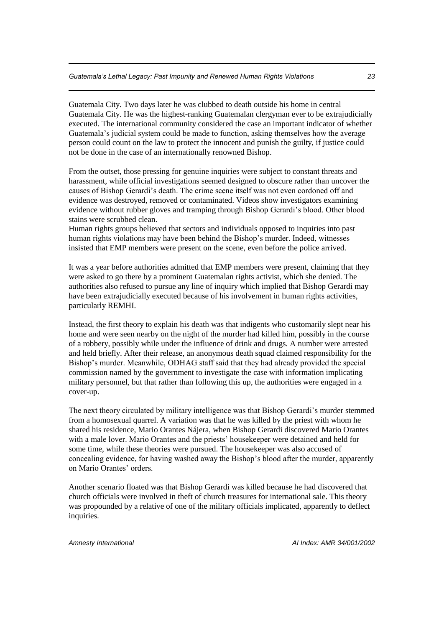Guatemala City. Two days later he was clubbed to death outside his home in central Guatemala City. He was the highest-ranking Guatemalan clergyman ever to be extrajudicially executed. The international community considered the case an important indicator of whether Guatemala's judicial system could be made to function, asking themselves how the average person could count on the law to protect the innocent and punish the guilty, if justice could not be done in the case of an internationally renowned Bishop.

From the outset, those pressing for genuine inquiries were subject to constant threats and harassment, while official investigations seemed designed to obscure rather than uncover the causes of Bishop Gerardi's death. The crime scene itself was not even cordoned off and evidence was destroyed, removed or contaminated. Videos show investigators examining evidence without rubber gloves and tramping through Bishop Gerardi's blood. Other blood stains were scrubbed clean.

Human rights groups believed that sectors and individuals opposed to inquiries into past human rights violations may have been behind the Bishop's murder. Indeed, witnesses insisted that EMP members were present on the scene, even before the police arrived.

It was a year before authorities admitted that EMP members were present, claiming that they were asked to go there by a prominent Guatemalan rights activist, which she denied. The authorities also refused to pursue any line of inquiry which implied that Bishop Gerardi may have been extrajudicially executed because of his involvement in human rights activities, particularly REMHI.

Instead, the first theory to explain his death was that indigents who customarily slept near his home and were seen nearby on the night of the murder had killed him, possibly in the course of a robbery, possibly while under the influence of drink and drugs. A number were arrested and held briefly. After their release, an anonymous death squad claimed responsibility for the Bishop's murder. Meanwhile, ODHAG staff said that they had already provided the special commission named by the government to investigate the case with information implicating military personnel, but that rather than following this up, the authorities were engaged in a cover-up.

The next theory circulated by military intelligence was that Bishop Gerardi's murder stemmed from a homosexual quarrel. A variation was that he was killed by the priest with whom he shared his residence, Mario Orantes Nájera, when Bishop Gerardi discovered Mario Orantes with a male lover. Mario Orantes and the priests' housekeeper were detained and held for some time, while these theories were pursued. The housekeeper was also accused of concealing evidence, for having washed away the Bishop's blood after the murder, apparently on Mario Orantes' orders.

Another scenario floated was that Bishop Gerardi was killed because he had discovered that church officials were involved in theft of church treasures for international sale. This theory was propounded by a relative of one of the military officials implicated, apparently to deflect inquiries.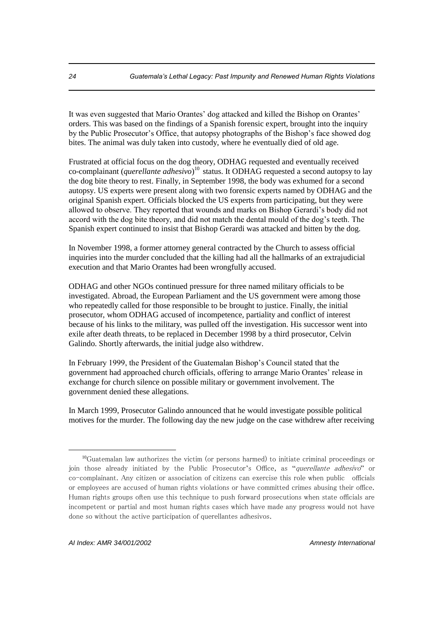It was even suggested that Mario Orantes' dog attacked and killed the Bishop on Orantes' orders. This was based on the findings of a Spanish forensic expert, brought into the inquiry by the Public Prosecutor's Office, that autopsy photographs of the Bishop's face showed dog bites. The animal was duly taken into custody, where he eventually died of old age.

Frustrated at official focus on the dog theory, ODHAG requested and eventually received co-complainant (*querellante adhesivo*) <sup>10</sup> status. It ODHAG requested a second autopsy to lay the dog bite theory to rest. Finally, in September 1998, the body was exhumed for a second autopsy. US experts were present along with two forensic experts named by ODHAG and the original Spanish expert. Officials blocked the US experts from participating, but they were allowed to observe. They reported that wounds and marks on Bishop Gerardi's body did not accord with the dog bite theory, and did not match the dental mould of the dog's teeth. The Spanish expert continued to insist that Bishop Gerardi was attacked and bitten by the dog.

In November 1998, a former attorney general contracted by the Church to assess official inquiries into the murder concluded that the killing had all the hallmarks of an extrajudicial execution and that Mario Orantes had been wrongfully accused.

ODHAG and other NGOs continued pressure for three named military officials to be investigated. Abroad, the European Parliament and the US government were among those who repeatedly called for those responsible to be brought to justice. Finally, the initial prosecutor, whom ODHAG accused of incompetence, partiality and conflict of interest because of his links to the military, was pulled off the investigation. His successor went into exile after death threats, to be replaced in December 1998 by a third prosecutor, Celvin Galindo. Shortly afterwards, the initial judge also withdrew.

In February 1999, the President of the Guatemalan Bishop's Council stated that the government had approached church officials, offering to arrange Mario Orantes' release in exchange for church silence on possible military or government involvement. The government denied these allegations.

In March 1999, Prosecutor Galindo announced that he would investigate possible political motives for the murder. The following day the new judge on the case withdrew after receiving

<sup>10</sup>Guatemalan law authorizes the victim (or persons harmed) to initiate criminal proceedings or join those already initiated by the Public Prosecutor's Office, as "querellante adhesivo" or co-complainant. Any citizen or association of citizens can exercise this role when public officials or employees are accused of human rights violations or have committed crimes abusing their office. Human rights groups often use this technique to push forward prosecutions when state officials are incompetent or partial and most human rights cases which have made any progress would not have done so without the active participation of querellantes adhesivos.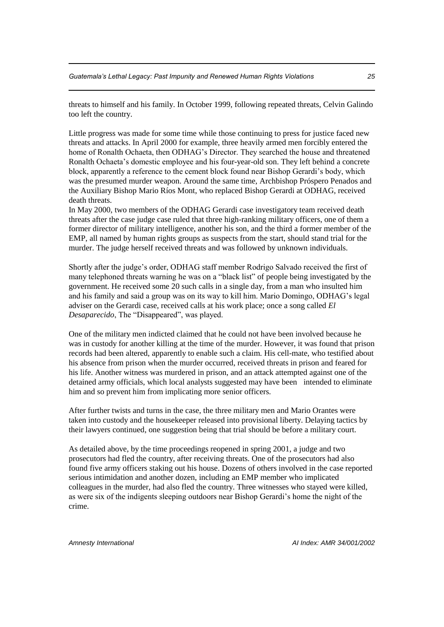threats to himself and his family. In October 1999, following repeated threats, Celvin Galindo too left the country.

Little progress was made for some time while those continuing to press for justice faced new threats and attacks. In April 2000 for example, three heavily armed men forcibly entered the home of Ronalth Ochaeta, then ODHAG's Director. They searched the house and threatened Ronalth Ochaeta's domestic employee and his four-year-old son. They left behind a concrete block, apparently a reference to the cement block found near Bishop Gerardi's body, which was the presumed murder weapon. Around the same time, Archbishop Próspero Penados and the Auxiliary Bishop Mario Ríos Mont, who replaced Bishop Gerardi at ODHAG, received death threats.

In May 2000, two members of the ODHAG Gerardi case investigatory team received death threats after the case judge case ruled that three high-ranking military officers, one of them a former director of military intelligence, another his son, and the third a former member of the EMP, all named by human rights groups as suspects from the start, should stand trial for the murder. The judge herself received threats and was followed by unknown individuals.

Shortly after the judge's order, ODHAG staff member Rodrigo Salvado received the first of many telephoned threats warning he was on a "black list" of people being investigated by the government. He received some 20 such calls in a single day, from a man who insulted him and his family and said a group was on its way to kill him. Mario Domingo, ODHAG's legal adviser on the Gerardi case, received calls at his work place; once a song called *El Desaparecido*, The "Disappeared", was played.

One of the military men indicted claimed that he could not have been involved because he was in custody for another killing at the time of the murder. However, it was found that prison records had been altered, apparently to enable such a claim. His cell-mate, who testified about his absence from prison when the murder occurred, received threats in prison and feared for his life. Another witness was murdered in prison, and an attack attempted against one of the detained army officials, which local analysts suggested may have been intended to eliminate him and so prevent him from implicating more senior officers.

After further twists and turns in the case, the three military men and Mario Orantes were taken into custody and the housekeeper released into provisional liberty. Delaying tactics by their lawyers continued, one suggestion being that trial should be before a military court.

As detailed above, by the time proceedings reopened in spring 2001, a judge and two prosecutors had fled the country, after receiving threats. One of the prosecutors had also found five army officers staking out his house. Dozens of others involved in the case reported serious intimidation and another dozen, including an EMP member who implicated colleagues in the murder, had also fled the country. Three witnesses who stayed were killed, as were six of the indigents sleeping outdoors near Bishop Gerardi's home the night of the crime.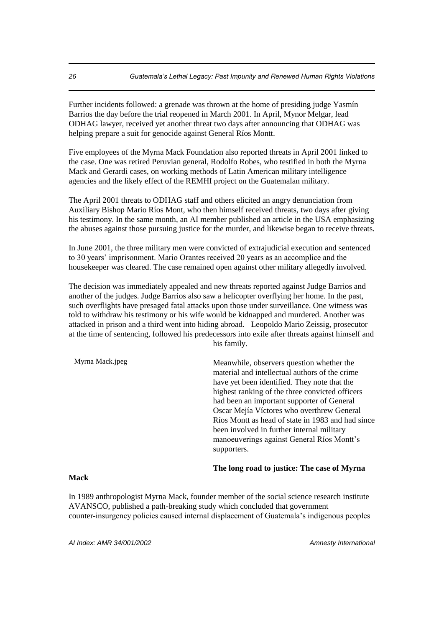Further incidents followed: a grenade was thrown at the home of presiding judge Yasmín Barrios the day before the trial reopened in March 2001. In April, Mynor Melgar, lead ODHAG lawyer, received yet another threat two days after announcing that ODHAG was helping prepare a suit for genocide against General Ríos Montt.

Five employees of the Myrna Mack Foundation also reported threats in April 2001 linked to the case. One was retired Peruvian general, Rodolfo Robes, who testified in both the Myrna Mack and Gerardi cases, on working methods of Latin American military intelligence agencies and the likely effect of the REMHI project on the Guatemalan military.

The April 2001 threats to ODHAG staff and others elicited an angry denunciation from Auxiliary Bishop Mario Ríos Mont, who then himself received threats, two days after giving his testimony. In the same month, an AI member published an article in the USA emphasizing the abuses against those pursuing justice for the murder, and likewise began to receive threats.

In June 2001, the three military men were convicted of extrajudicial execution and sentenced to 30 years' imprisonment. Mario Orantes received 20 years as an accomplice and the housekeeper was cleared. The case remained open against other military allegedly involved.

The decision was immediately appealed and new threats reported against Judge Barrios and another of the judges. Judge Barrios also saw a helicopter overflying her home. In the past, such overflights have presaged fatal attacks upon those under surveillance. One witness was told to withdraw his testimony or his wife would be kidnapped and murdered. Another was attacked in prison and a third went into hiding abroad. Leopoldo Mario Zeissig, prosecutor at the time of sentencing, followed his predecessors into exile after threats against himself and his family.

| Myrna Mack.jpeg | Meanwhile, observers question whether the<br>material and intellectual authors of the crime<br>have yet been identified. They note that the<br>highest ranking of the three convicted officers<br>had been an important supporter of General<br>Oscar Mejía Víctores who overthrew General<br>Ríos Montt as head of state in 1983 and had since<br>been involved in further internal military<br>manoeuverings against General Ríos Montt's<br>supporters. |
|-----------------|------------------------------------------------------------------------------------------------------------------------------------------------------------------------------------------------------------------------------------------------------------------------------------------------------------------------------------------------------------------------------------------------------------------------------------------------------------|
|                 |                                                                                                                                                                                                                                                                                                                                                                                                                                                            |

#### **The long road to justice: The case of Myrna**

#### **Mack**

In 1989 anthropologist Myrna Mack, founder member of the social science research institute AVANSCO, published a path-breaking study which concluded that government counter-insurgency policies caused internal displacement of Guatemala's indigenous peoples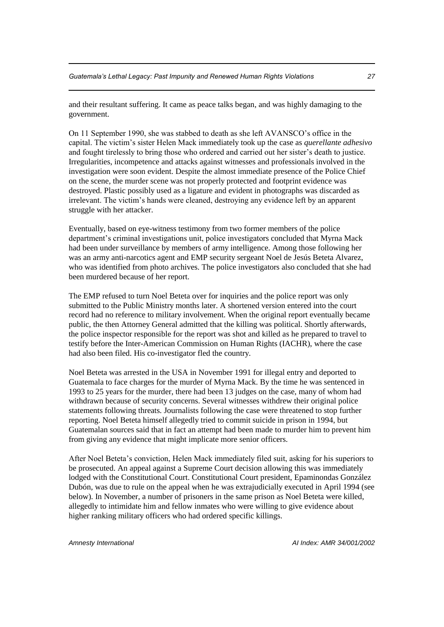and their resultant suffering. It came as peace talks began, and was highly damaging to the government.

On 11 September 1990, she was stabbed to death as she left AVANSCO's office in the capital. The victim's sister Helen Mack immediately took up the case as *querellante adhesivo*  and fought tirelessly to bring those who ordered and carried out her sister's death to justice. Irregularities, incompetence and attacks against witnesses and professionals involved in the investigation were soon evident. Despite the almost immediate presence of the Police Chief on the scene, the murder scene was not properly protected and footprint evidence was destroyed. Plastic possibly used as a ligature and evident in photographs was discarded as irrelevant. The victim's hands were cleaned, destroying any evidence left by an apparent struggle with her attacker.

Eventually, based on eye-witness testimony from two former members of the police department's criminal investigations unit, police investigators concluded that Myrna Mack had been under surveillance by members of army intelligence. Among those following her was an army anti-narcotics agent and EMP security sergeant Noel de Jesús Beteta Alvarez, who was identified from photo archives. The police investigators also concluded that she had been murdered because of her report.

The EMP refused to turn Noel Beteta over for inquiries and the police report was only submitted to the Public Ministry months later. A shortened version entered into the court record had no reference to military involvement. When the original report eventually became public, the then Attorney General admitted that the killing was political. Shortly afterwards, the police inspector responsible for the report was shot and killed as he prepared to travel to testify before the Inter-American Commission on Human Rights (IACHR), where the case had also been filed. His co-investigator fled the country.

Noel Beteta was arrested in the USA in November 1991 for illegal entry and deported to Guatemala to face charges for the murder of Myrna Mack. By the time he was sentenced in 1993 to 25 years for the murder, there had been 13 judges on the case, many of whom had withdrawn because of security concerns. Several witnesses withdrew their original police statements following threats. Journalists following the case were threatened to stop further reporting. Noel Beteta himself allegedly tried to commit suicide in prison in 1994, but Guatemalan sources said that in fact an attempt had been made to murder him to prevent him from giving any evidence that might implicate more senior officers.

After Noel Beteta's conviction, Helen Mack immediately filed suit, asking for his superiors to be prosecuted. An appeal against a Supreme Court decision allowing this was immediately lodged with the Constitutional Court. Constitutional Court president, Epaminondas González Dubón, was due to rule on the appeal when he was extrajudicially executed in April 1994 (see below). In November, a number of prisoners in the same prison as Noel Beteta were killed, allegedly to intimidate him and fellow inmates who were willing to give evidence about higher ranking military officers who had ordered specific killings.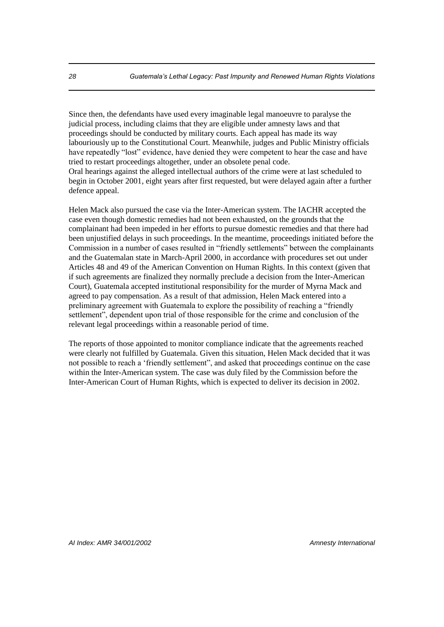Since then, the defendants have used every imaginable legal manoeuvre to paralyse the judicial process, including claims that they are eligible under amnesty laws and that proceedings should be conducted by military courts. Each appeal has made its way labouriously up to the Constitutional Court. Meanwhile, judges and Public Ministry officials have repeatedly "lost" evidence, have denied they were competent to hear the case and have tried to restart proceedings altogether, under an obsolete penal code. Oral hearings against the alleged intellectual authors of the crime were at last scheduled to begin in October 2001, eight years after first requested, but were delayed again after a further defence appeal.

Helen Mack also pursued the case via the Inter-American system. The IACHR accepted the case even though domestic remedies had not been exhausted, on the grounds that the complainant had been impeded in her efforts to pursue domestic remedies and that there had been unjustified delays in such proceedings. In the meantime, proceedings initiated before the Commission in a number of cases resulted in "friendly settlements" between the complainants and the Guatemalan state in March-April 2000, in accordance with procedures set out under Articles 48 and 49 of the American Convention on Human Rights. In this context (given that if such agreements are finalized they normally preclude a decision from the Inter-American Court), Guatemala accepted institutional responsibility for the murder of Myrna Mack and agreed to pay compensation. As a result of that admission, Helen Mack entered into a preliminary agreement with Guatemala to explore the possibility of reaching a "friendly settlement", dependent upon trial of those responsible for the crime and conclusion of the relevant legal proceedings within a reasonable period of time.

The reports of those appointed to monitor compliance indicate that the agreements reached were clearly not fulfilled by Guatemala. Given this situation, Helen Mack decided that it was not possible to reach a 'friendly settlement", and asked that proceedings continue on the case within the Inter-American system. The case was duly filed by the Commission before the Inter-American Court of Human Rights, which is expected to deliver its decision in 2002.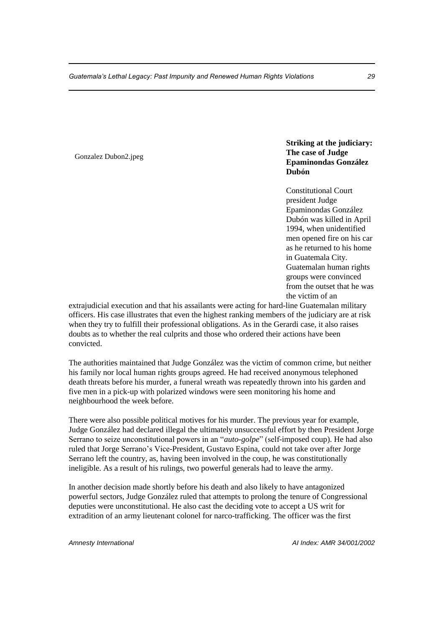#### Gonzalez Dubon2.jpeg

### **Striking at the judiciary: The case of Judge Epaminondas González Dubón**

Constitutional Court president Judge Epaminondas González Dubón was killed in April 1994, when unidentified men opened fire on his car as he returned to his home in Guatemala City. Guatemalan human rights groups were convinced from the outset that he was the victim of an

extrajudicial execution and that his assailants were acting for hard-line Guatemalan military officers. His case illustrates that even the highest ranking members of the judiciary are at risk when they try to fulfill their professional obligations. As in the Gerardi case, it also raises doubts as to whether the real culprits and those who ordered their actions have been convicted.

The authorities maintained that Judge González was the victim of common crime, but neither his family nor local human rights groups agreed. He had received anonymous telephoned death threats before his murder, a funeral wreath was repeatedly thrown into his garden and five men in a pick-up with polarized windows were seen monitoring his home and neighbourhood the week before.

There were also possible political motives for his murder. The previous year for example, Judge González had declared illegal the ultimately unsuccessful effort by then President Jorge Serrano to seize unconstitutional powers in an "*auto-golpe*" (self-imposed coup). He had also ruled that Jorge Serrano's Vice-President, Gustavo Espina, could not take over after Jorge Serrano left the country, as, having been involved in the coup, he was constitutionally ineligible. As a result of his rulings, two powerful generals had to leave the army.

In another decision made shortly before his death and also likely to have antagonized powerful sectors, Judge González ruled that attempts to prolong the tenure of Congressional deputies were unconstitutional. He also cast the deciding vote to accept a US writ for extradition of an army lieutenant colonel for narco-trafficking. The officer was the first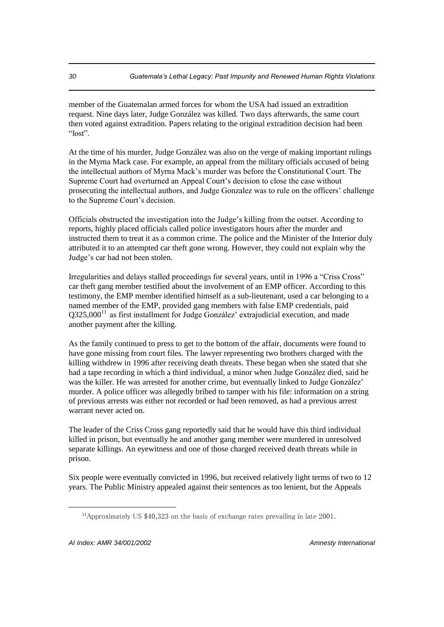member of the Guatemalan armed forces for whom the USA had issued an extradition request. Nine days later, Judge González was killed. Two days afterwards, the same court then voted against extradition. Papers relating to the original extradition decision had been "lost".

At the time of his murder, Judge González was also on the verge of making important rulings in the Myrna Mack case. For example, an appeal from the military officials accused of being the intellectual authors of Myrna Mack's murder was before the Constitutional Court. The Supreme Court had overturned an Appeal Court's decision to close the case without prosecuting the intellectual authors, and Judge Gonzalez was to rule on the officers' challenge to the Supreme Court's decision.

Officials obstructed the investigation into the Judge's killing from the outset. According to reports, highly placed officials called police investigators hours after the murder and instructed them to treat it as a common crime. The police and the Minister of the Interior duly attributed it to an attempted car theft gone wrong. However, they could not explain why the Judge's car had not been stolen.

Irregularities and delays stalled proceedings for several years, until in 1996 a "Criss Cross" car theft gang member testified about the involvement of an EMP officer. According to this testimony, the EMP member identified himself as a sub-lieutenant, used a car belonging to a named member of the EMP, provided gang members with false EMP credentials, paid  $Q325,000<sup>11</sup>$  as first installment for Judge González' extrajudicial execution, and made another payment after the killing.

As the family continued to press to get to the bottom of the affair, documents were found to have gone missing from court files. The lawyer representing two brothers charged with the killing withdrew in 1996 after receiving death threats. These began when she stated that she had a tape recording in which a third individual, a minor when Judge González died, said he was the killer. He was arrested for another crime, but eventually linked to Judge González' murder. A police officer was allegedly bribed to tamper with his file: information on a string of previous arrests was either not recorded or had been removed, as had a previous arrest warrant never acted on.

The leader of the Criss Cross gang reportedly said that he would have this third individual killed in prison, but eventually he and another gang member were murdered in unresolved separate killings. An eyewitness and one of those charged received death threats while in prison.

Six people were eventually convicted in 1996, but received relatively light terms of two to 12 years. The Public Ministry appealed against their sentences as too lenient, but the Appeals

<sup>11</sup>Approximately US \$40,323 on the basis of exchange rates prevailing in late 2001.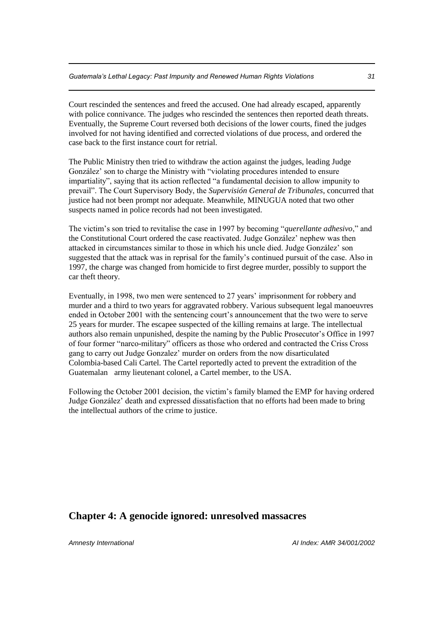Court rescinded the sentences and freed the accused. One had already escaped, apparently with police connivance. The judges who rescinded the sentences then reported death threats. Eventually, the Supreme Court reversed both decisions of the lower courts, fined the judges involved for not having identified and corrected violations of due process, and ordered the case back to the first instance court for retrial.

The Public Ministry then tried to withdraw the action against the judges, leading Judge González' son to charge the Ministry with "violating procedures intended to ensure impartiality", saying that its action reflected "a fundamental decision to allow impunity to prevail". The Court Supervisory Body, the *Supervisión General de Tribunales*, concurred that justice had not been prompt nor adequate. Meanwhile, MINUGUA noted that two other suspects named in police records had not been investigated.

The victim's son tried to revitalise the case in 1997 by becoming "*querellante adhesivo*," and the Constitutional Court ordered the case reactivated. Judge González' nephew was then attacked in circumstances similar to those in which his uncle died. Judge González' son suggested that the attack was in reprisal for the family's continued pursuit of the case. Also in 1997, the charge was changed from homicide to first degree murder, possibly to support the car theft theory.

Eventually, in 1998, two men were sentenced to 27 years' imprisonment for robbery and murder and a third to two years for aggravated robbery. Various subsequent legal manoeuvres ended in October 2001 with the sentencing court's announcement that the two were to serve 25 years for murder. The escapee suspected of the killing remains at large. The intellectual authors also remain unpunished, despite the naming by the Public Prosecutor's Office in 1997 of four former "narco-military" officers as those who ordered and contracted the Criss Cross gang to carry out Judge Gonzalez' murder on orders from the now disarticulated Colombia-based Cali Cartel. The Cartel reportedly acted to prevent the extradition of the Guatemalan army lieutenant colonel, a Cartel member, to the USA.

Following the October 2001 decision, the victim's family blamed the EMP for having ordered Judge González' death and expressed dissatisfaction that no efforts had been made to bring the intellectual authors of the crime to justice.

### **Chapter 4: A genocide ignored: unresolved massacres**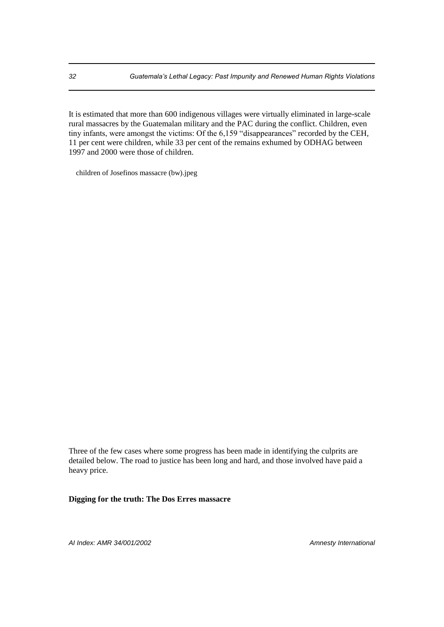It is estimated that more than 600 indigenous villages were virtually eliminated in large-scale rural massacres by the Guatemalan military and the PAC during the conflict. Children, even tiny infants, were amongst the victims: Of the 6,159 "disappearances" recorded by the CEH, 11 per cent were children, while 33 per cent of the remains exhumed by ODHAG between 1997 and 2000 were those of children.

children of Josefinos massacre (bw).jpeg

Three of the few cases where some progress has been made in identifying the culprits are detailed below. The road to justice has been long and hard, and those involved have paid a heavy price.

**Digging for the truth: The Dos Erres massacre**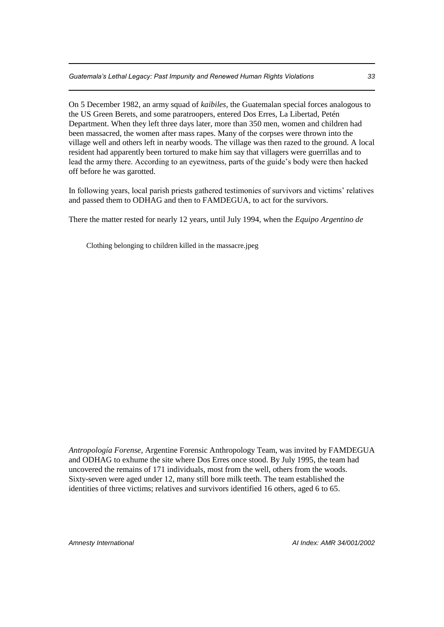On 5 December 1982, an army squad of *kaibiles*, the Guatemalan special forces analogous to the US Green Berets, and some paratroopers, entered Dos Erres, La Libertad, Petén Department. When they left three days later, more than 350 men, women and children had been massacred, the women after mass rapes. Many of the corpses were thrown into the village well and others left in nearby woods. The village was then razed to the ground. A local resident had apparently been tortured to make him say that villagers were guerrillas and to lead the army there. According to an eyewitness, parts of the guide's body were then hacked off before he was garotted.

In following years, local parish priests gathered testimonies of survivors and victims' relatives and passed them to ODHAG and then to FAMDEGUA, to act for the survivors.

There the matter rested for nearly 12 years, until July 1994, when the *Equipo Argentino de* 

Clothing belonging to children killed in the massacre.jpeg

*Antropología Forense*, Argentine Forensic Anthropology Team, was invited by FAMDEGUA and ODHAG to exhume the site where Dos Erres once stood. By July 1995, the team had uncovered the remains of 171 individuals, most from the well, others from the woods. Sixty-seven were aged under 12, many still bore milk teeth. The team established the identities of three victims; relatives and survivors identified 16 others, aged 6 to 65.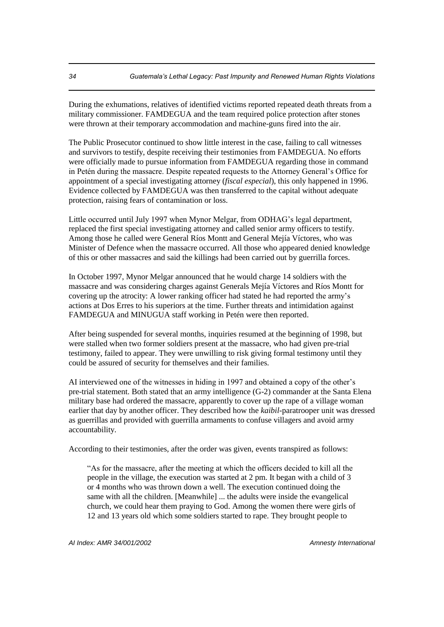During the exhumations, relatives of identified victims reported repeated death threats from a military commissioner. FAMDEGUA and the team required police protection after stones were thrown at their temporary accommodation and machine-guns fired into the air.

The Public Prosecutor continued to show little interest in the case, failing to call witnesses and survivors to testify, despite receiving their testimonies from FAMDEGUA. No efforts were officially made to pursue information from FAMDEGUA regarding those in command in Petén during the massacre. Despite repeated requests to the Attorney General's Office for appointment of a special investigating attorney (*fiscal especial*), this only happened in 1996. Evidence collected by FAMDEGUA was then transferred to the capital without adequate protection, raising fears of contamination or loss.

Little occurred until July 1997 when Mynor Melgar, from ODHAG's legal department, replaced the first special investigating attorney and called senior army officers to testify. Among those he called were General Ríos Montt and General Mejía Víctores, who was Minister of Defence when the massacre occurred. All those who appeared denied knowledge of this or other massacres and said the killings had been carried out by guerrilla forces.

In October 1997, Mynor Melgar announced that he would charge 14 soldiers with the massacre and was considering charges against Generals Mejía Víctores and Ríos Montt for covering up the atrocity: A lower ranking officer had stated he had reported the army's actions at Dos Erres to his superiors at the time. Further threats and intimidation against FAMDEGUA and MINUGUA staff working in Petén were then reported.

After being suspended for several months, inquiries resumed at the beginning of 1998, but were stalled when two former soldiers present at the massacre, who had given pre-trial testimony, failed to appear. They were unwilling to risk giving formal testimony until they could be assured of security for themselves and their families.

AI interviewed one of the witnesses in hiding in 1997 and obtained a copy of the other's pre-trial statement. Both stated that an army intelligence (G-2) commander at the Santa Elena military base had ordered the massacre, apparently to cover up the rape of a village woman earlier that day by another officer. They described how the *kaibil-*paratrooper unit was dressed as guerrillas and provided with guerrilla armaments to confuse villagers and avoid army accountability.

According to their testimonies, after the order was given, events transpired as follows:

"As for the massacre, after the meeting at which the officers decided to kill all the people in the village, the execution was started at 2 pm. It began with a child of 3 or 4 months who was thrown down a well. The execution continued doing the same with all the children. [Meanwhile] ... the adults were inside the evangelical church, we could hear them praying to God. Among the women there were girls of 12 and 13 years old which some soldiers started to rape. They brought people to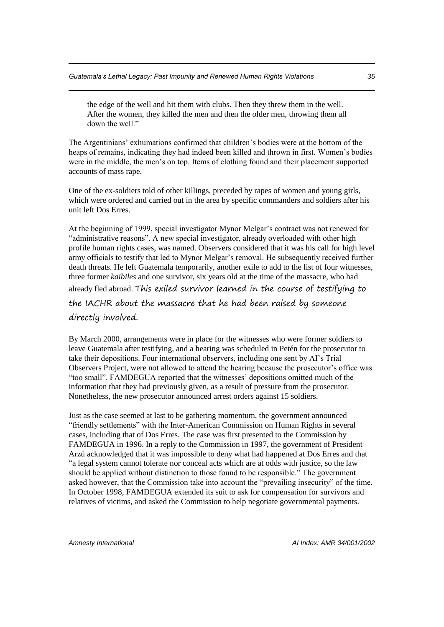the edge of the well and hit them with clubs. Then they threw them in the well. After the women, they killed the men and then the older men, throwing them all down the well."

The Argentinians' exhumations confirmed that children's bodies were at the bottom of the heaps of remains, indicating they had indeed been killed and thrown in first. Women's bodies were in the middle, the men's on top. Items of clothing found and their placement supported accounts of mass rape.

One of the ex-soldiers told of other killings, preceded by rapes of women and young girls, which were ordered and carried out in the area by specific commanders and soldiers after his unit left Dos Erres.

At the beginning of 1999, special investigator Mynor Melgar's contract was not renewed for "administrative reasons". A new special investigator, already overloaded with other high profile human rights cases, was named. Observers considered that it was his call for high level army officials to testify that led to Mynor Melgar's removal. He subsequently received further death threats. He left Guatemala temporarily, another exile to add to the list of four witnesses, three former *kaibiles* and one survivor, six years old at the time of the massacre, who had

already fled abroad. This exiled survivor learned in the course of testifying to

the IACHR about the massacre that he had been raised by someone

directly involved.

By March 2000, arrangements were in place for the witnesses who were former soldiers to leave Guatemala after testifying, and a hearing was scheduled in Petén for the prosecutor to take their depositions. Four international observers, including one sent by AI's Trial Observers Project, were not allowed to attend the hearing because the prosecutor's office was "too small". FAMDEGUA reported that the witnesses' depositions omitted much of the information that they had previously given, as a result of pressure from the prosecutor. Nonetheless, the new prosecutor announced arrest orders against 15 soldiers.

Just as the case seemed at last to be gathering momentum, the government announced "friendly settlements" with the Inter-American Commission on Human Rights in several cases, including that of Dos Erres. The case was first presented to the Commission by FAMDEGUA in 1996. In a reply to the Commission in 1997, the government of President Arzú acknowledged that it was impossible to deny what had happened at Dos Erres and that "a legal system cannot tolerate nor conceal acts which are at odds with justice, so the law should be applied without distinction to those found to be responsible." The government asked however, that the Commission take into account the "prevailing insecurity" of the time. In October 1998, FAMDEGUA extended its suit to ask for compensation for survivors and relatives of victims, and asked the Commission to help negotiate governmental payments.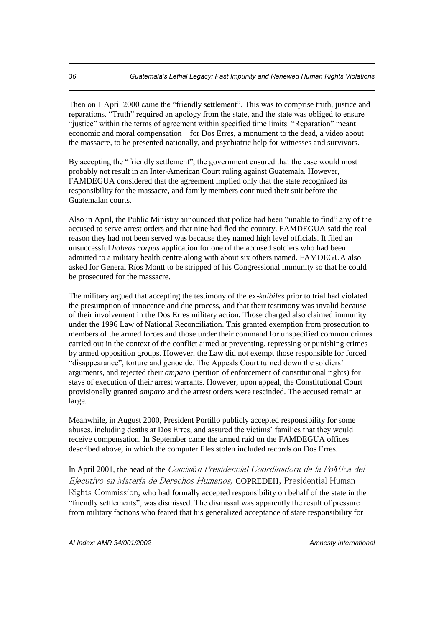Then on 1 April 2000 came the "friendly settlement". This was to comprise truth, justice and reparations. "Truth" required an apology from the state, and the state was obliged to ensure "justice" within the terms of agreement within specified time limits. "Reparation" meant economic and moral compensation – for Dos Erres, a monument to the dead, a video about the massacre, to be presented nationally, and psychiatric help for witnesses and survivors.

By accepting the "friendly settlement", the government ensured that the case would most probably not result in an Inter-American Court ruling against Guatemala. However, FAMDEGUA considered that the agreement implied only that the state recognized its responsibility for the massacre, and family members continued their suit before the Guatemalan courts.

Also in April, the Public Ministry announced that police had been "unable to find" any of the accused to serve arrest orders and that nine had fled the country. FAMDEGUA said the real reason they had not been served was because they named high level officials. It filed an unsuccessful *habeas corpus* application for one of the accused soldiers who had been admitted to a military health centre along with about six others named. FAMDEGUA also asked for General Ríos Montt to be stripped of his Congressional immunity so that he could be prosecuted for the massacre.

The military argued that accepting the testimony of the ex*-kaibiles* prior to trial had violated the presumption of innocence and due process, and that their testimony was invalid because of their involvement in the Dos Erres military action. Those charged also claimed immunity under the 1996 Law of National Reconciliation. This granted exemption from prosecution to members of the armed forces and those under their command for unspecified common crimes carried out in the context of the conflict aimed at preventing, repressing or punishing crimes by armed opposition groups. However, the Law did not exempt those responsible for forced "disappearance", torture and genocide. The Appeals Court turned down the soldiers' arguments, and rejected their *amparo* (petition of enforcement of constitutional rights) for stays of execution of their arrest warrants. However, upon appeal, the Constitutional Court provisionally granted *amparo* and the arrest orders were rescinded. The accused remain at large.

Meanwhile, in August 2000, President Portillo publicly accepted responsibility for some abuses, including deaths at Dos Erres, and assured the victims' families that they would receive compensation. In September came the armed raid on the FAMDEGUA offices described above, in which the computer files stolen included records on Dos Erres.

In April 2001, the head of the Comisi*ó*n Presidencial Coordinadora de la Pol*í*tica del Ejecutivo en Materia de Derechos Humanos, COPREDEH, Presidential Human

Rights Commission, who had formally accepted responsibility on behalf of the state in the "friendly settlements", was dismissed. The dismissal was apparently the result of pressure from military factions who feared that his generalized acceptance of state responsibility for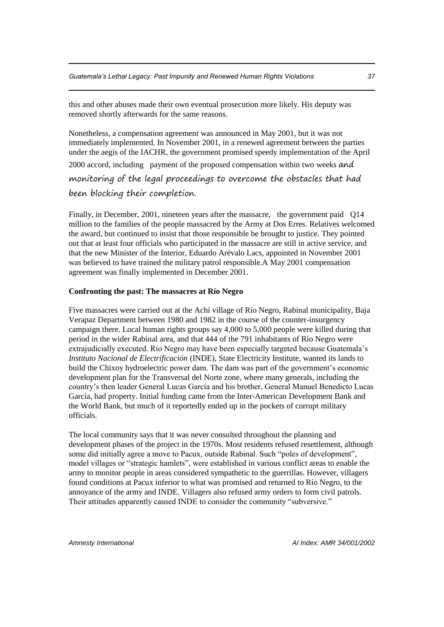this and other abuses made their own eventual prosecution more likely. His deputy was removed shortly afterwards for the same reasons.

Nonetheless, a compensation agreement was announced in May 2001, but it was not immediately implemented. In November 2001, in a renewed agreement between the parties under the aegis of the IACHR, the government promised speedy implementation of the April 2000 accord, including payment of the proposed compensation within two weeks and monitoring of the legal proceedings to overcome the obstacles that had been blocking their completion.

Finally, in December, 2001, nineteen years after the massacre, the government paid Q14 million to the families of the people massacred by the Army at Dos Erres. Relatives welcomed the award, but continued to insist that those responsible be brought to justice. They pointed out that at least four officials who participated in the massacre are still in active service, and that the new Minister of the Interior, Eduardo Arévalo Lacs, appointed in November 2001 was believed to have trained the military patrol responsible.A May 2001 compensation agreement was finally implemented in December 2001.

#### **Confronting the past: The massacres at Río Negro**

Five massacres were carried out at the Achí village of Río Negro, Rabinal municipality, Baja Verapaz Department between 1980 and 1982 in the course of the counter-insurgency campaign there. Local human rights groups say 4,000 to 5,000 people were killed during that period in the wider Rabinal area, and that 444 of the 791 inhabitants of Río Negro were extrajudicially executed. Río Negro may have been especially targeted because Guatemala's *Instituto Nacional de Electrificación* (INDE), State Electricity Institute, wanted its lands to build the Chixoy hydroelectric power dam. The dam was part of the government's economic development plan for the Transversal del Norte zone, where many generals, including the country's then leader General Lucas García and his brother, General Manuel Benedicto Lucas García, had property. Initial funding came from the Inter-American Development Bank and the World Bank, but much of it reportedly ended up in the pockets of corrupt military officials.

The local community says that it was never consulted throughout the planning and development phases of the project in the 1970s. Most residents refused resettlement, although some did initially agree a move to Pacux, outside Rabinal. Such "poles of development", model villages or "strategic hamlets", were established in various conflict areas to enable the army to monitor people in areas considered sympathetic to the guerrillas. However, villagers found conditions at Pacux inferior to what was promised and returned to Río Negro, to the annoyance of the army and INDE. Villagers also refused army orders to form civil patrols. Their attitudes apparently caused INDE to consider the community "subversive."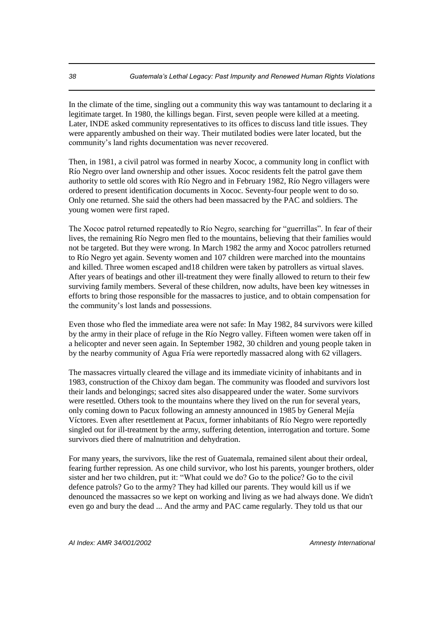In the climate of the time, singling out a community this way was tantamount to declaring it a legitimate target. In 1980, the killings began. First, seven people were killed at a meeting. Later, INDE asked community representatives to its offices to discuss land title issues. They were apparently ambushed on their way. Their mutilated bodies were later located, but the community's land rights documentation was never recovered.

Then, in 1981, a civil patrol was formed in nearby Xococ, a community long in conflict with Río Negro over land ownership and other issues. Xococ residents felt the patrol gave them authority to settle old scores with Río Negro and in February 1982, Río Negro villagers were ordered to present identification documents in Xococ. Seventy-four people went to do so. Only one returned. She said the others had been massacred by the PAC and soldiers. The young women were first raped.

The Xococ patrol returned repeatedly to Río Negro, searching for "guerrillas". In fear of their lives, the remaining Río Negro men fled to the mountains, believing that their families would not be targeted. But they were wrong. In March 1982 the army and Xococ patrollers returned to Río Negro yet again. Seventy women and 107 children were marched into the mountains and killed. Three women escaped and18 children were taken by patrollers as virtual slaves. After years of beatings and other ill-treatment they were finally allowed to return to their few surviving family members. Several of these children, now adults, have been key witnesses in efforts to bring those responsible for the massacres to justice, and to obtain compensation for the community's lost lands and possessions.

Even those who fled the immediate area were not safe: In May 1982, 84 survivors were killed by the army in their place of refuge in the Río Negro valley. Fifteen women were taken off in a helicopter and never seen again. In September 1982, 30 children and young people taken in by the nearby community of Agua Fría were reportedly massacred along with 62 villagers.

The massacres virtually cleared the village and its immediate vicinity of inhabitants and in 1983, construction of the Chixoy dam began. The community was flooded and survivors lost their lands and belongings; sacred sites also disappeared under the water. Some survivors were resettled. Others took to the mountains where they lived on the run for several years, only coming down to Pacux following an amnesty announced in 1985 by General Mejía Víctores. Even after resettlement at Pacux, former inhabitants of Río Negro were reportedly singled out for ill-treatment by the army, suffering detention, interrogation and torture. Some survivors died there of malnutrition and dehydration.

For many years, the survivors, like the rest of Guatemala, remained silent about their ordeal, fearing further repression. As one child survivor, who lost his parents, younger brothers, older sister and her two children, put it: "What could we do? Go to the police? Go to the civil defence patrols? Go to the army? They had killed our parents. They would kill us if we denounced the massacres so we kept on working and living as we had always done. We didn't even go and bury the dead ... And the army and PAC came regularly. They told us that our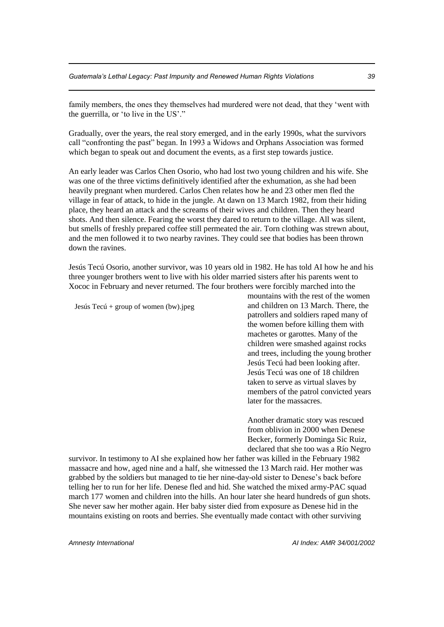family members, the ones they themselves had murdered were not dead, that they 'went with the guerrilla, or 'to live in the US'."

Gradually, over the years, the real story emerged, and in the early 1990s, what the survivors call "confronting the past" began. In 1993 a Widows and Orphans Association was formed which began to speak out and document the events, as a first step towards justice.

An early leader was Carlos Chen Osorio, who had lost two young children and his wife. She was one of the three victims definitively identified after the exhumation, as she had been heavily pregnant when murdered. Carlos Chen relates how he and 23 other men fled the village in fear of attack, to hide in the jungle. At dawn on 13 March 1982, from their hiding place, they heard an attack and the screams of their wives and children. Then they heard shots. And then silence. Fearing the worst they dared to return to the village. All was silent, but smells of freshly prepared coffee still permeated the air. Torn clothing was strewn about, and the men followed it to two nearby ravines. They could see that bodies has been thrown down the ravines.

Jesús Tecú Osorio, another survivor, was 10 years old in 1982. He has told AI how he and his three younger brothers went to live with his older married sisters after his parents went to Xococ in February and never returned. The four brothers were forcibly marched into the

Jesús Tecú + group of women (bw).jpeg

mountains with the rest of the women and children on 13 March. There, the patrollers and soldiers raped many of the women before killing them with machetes or garottes. Many of the children were smashed against rocks and trees, including the young brother Jesús Tecú had been looking after. Jesús Tecú was one of 18 children taken to serve as virtual slaves by members of the patrol convicted years later for the massacres.

Another dramatic story was rescued from oblivion in 2000 when Denese Becker, formerly Dominga Sic Ruiz, declared that she too was a Río Negro

survivor. In testimony to AI she explained how her father was killed in the February 1982 massacre and how, aged nine and a half, she witnessed the 13 March raid. Her mother was grabbed by the soldiers but managed to tie her nine-day-old sister to Denese's back before telling her to run for her life. Denese fled and hid. She watched the mixed army-PAC squad march 177 women and children into the hills. An hour later she heard hundreds of gun shots. She never saw her mother again. Her baby sister died from exposure as Denese hid in the mountains existing on roots and berries. She eventually made contact with other surviving

*Amnesty International AI Index: AMR 34/001/2002*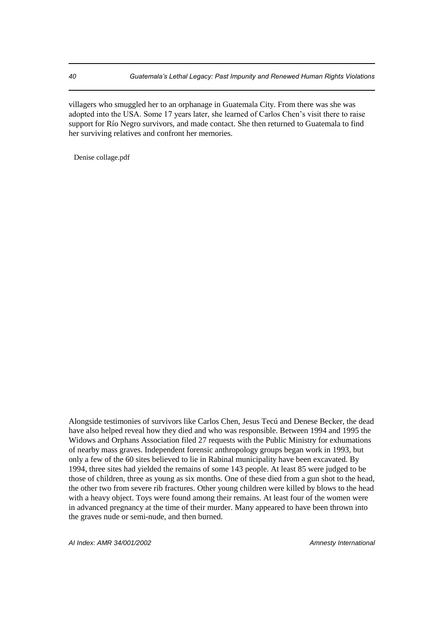villagers who smuggled her to an orphanage in Guatemala City. From there was she was adopted into the USA. Some 17 years later, she learned of Carlos Chen's visit there to raise support for Río Negro survivors, and made contact. She then returned to Guatemala to find her surviving relatives and confront her memories.

Denise collage.pdf

Alongside testimonies of survivors like Carlos Chen, Jesus Tecú and Denese Becker, the dead have also helped reveal how they died and who was responsible. Between 1994 and 1995 the Widows and Orphans Association filed 27 requests with the Public Ministry for exhumations of nearby mass graves. Independent forensic anthropology groups began work in 1993, but only a few of the 60 sites believed to lie in Rabinal municipality have been excavated. By 1994, three sites had yielded the remains of some 143 people. At least 85 were judged to be those of children, three as young as six months. One of these died from a gun shot to the head, the other two from severe rib fractures. Other young children were killed by blows to the head with a heavy object. Toys were found among their remains. At least four of the women were in advanced pregnancy at the time of their murder. Many appeared to have been thrown into the graves nude or semi-nude, and then burned.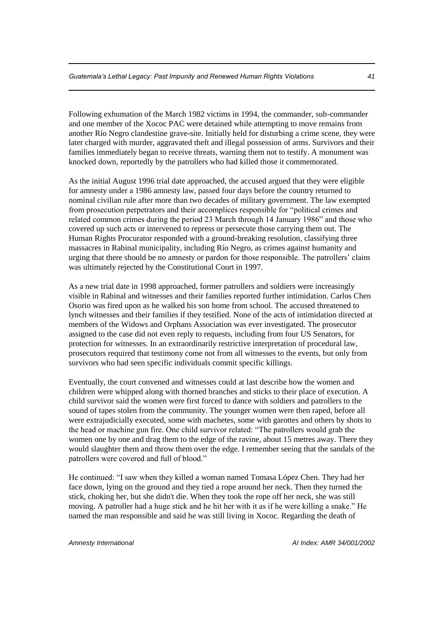Following exhumation of the March 1982 victims in 1994, the commander, sub-commander and one member of the Xococ PAC were detained while attempting to move remains from another Río Negro clandestine grave-site. Initially held for disturbing a crime scene, they were later charged with murder, aggravated theft and illegal possession of arms. Survivors and their families immediately began to receive threats, warning them not to testify. A monument was knocked down, reportedly by the patrollers who had killed those it commemorated.

As the initial August 1996 trial date approached, the accused argued that they were eligible for amnesty under a 1986 amnesty law, passed four days before the country returned to nominal civilian rule after more than two decades of military government. The law exempted from prosecution perpetrators and their accomplices responsible for "political crimes and related common crimes during the period 23 March through 14 January 1986" and those who covered up such acts or intervened to repress or persecute those carrying them out. The Human Rights Procurator responded with a ground-breaking resolution, classifying three massacres in Rabinal municipality, including Río Negro, as crimes against humanity and urging that there should be no amnesty or pardon for those responsible. The patrollers' claim was ultimately rejected by the Constitutional Court in 1997.

As a new trial date in 1998 approached, former patrollers and soldiers were increasingly visible in Rabinal and witnesses and their families reported further intimidation. Carlos Chen Osorio was fired upon as he walked his son home from school. The accused threatened to lynch witnesses and their families if they testified. None of the acts of intimidation directed at members of the Widows and Orphans Association was ever investigated. The prosecutor assigned to the case did not even reply to requests, including from four US Senators, for protection for witnesses. In an extraordinarily restrictive interpretation of procedural law, prosecutors required that testimony come not from all witnesses to the events, but only from survivors who had seen specific individuals commit specific killings.

Eventually, the court convened and witnesses could at last describe how the women and children were whipped along with thorned branches and sticks to their place of execution. A child survivor said the women were first forced to dance with soldiers and patrollers to the sound of tapes stolen from the community. The younger women were then raped, before all were extrajudicially executed, some with machetes, some with garottes and others by shots to the head or machine gun fire. One child survivor related: "The patrollers would grab the women one by one and drag them to the edge of the ravine, about 15 metres away. There they would slaughter them and throw them over the edge. I remember seeing that the sandals of the patrollers were covered and full of blood."

He continued: "I saw when they killed a woman named Tomasa López Chen. They had her face down, lying on the ground and they tied a rope around her neck. Then they turned the stick, choking her, but she didn't die. When they took the rope off her neck, she was still moving. A patroller had a huge stick and he hit her with it as if he were killing a snake." He named the man responsible and said he was still living in Xococ. Regarding the death of

*Amnesty International AI Index: AMR 34/001/2002*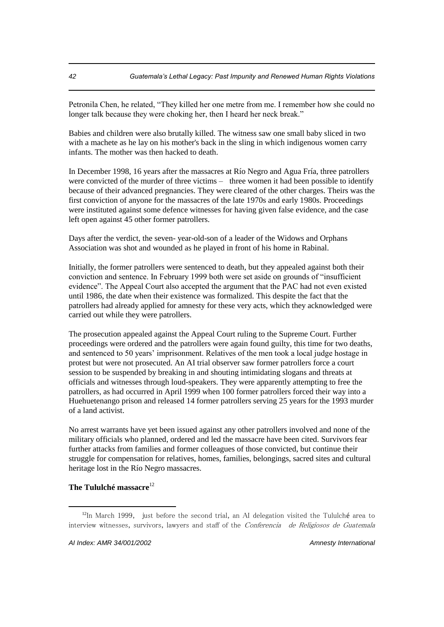Petronila Chen, he related, "They killed her one metre from me. I remember how she could no longer talk because they were choking her, then I heard her neck break."

Babies and children were also brutally killed. The witness saw one small baby sliced in two with a machete as he lay on his mother's back in the sling in which indigenous women carry infants. The mother was then hacked to death.

In December 1998, 16 years after the massacres at Río Negro and Agua Fría, three patrollers were convicted of the murder of three victims – three women it had been possible to identify because of their advanced pregnancies. They were cleared of the other charges. Theirs was the first conviction of anyone for the massacres of the late 1970s and early 1980s. Proceedings were instituted against some defence witnesses for having given false evidence, and the case left open against 45 other former patrollers.

Days after the verdict, the seven- year-old-son of a leader of the Widows and Orphans Association was shot and wounded as he played in front of his home in Rabinal.

Initially, the former patrollers were sentenced to death, but they appealed against both their conviction and sentence. In February 1999 both were set aside on grounds of "insufficient evidence". The Appeal Court also accepted the argument that the PAC had not even existed until 1986, the date when their existence was formalized. This despite the fact that the patrollers had already applied for amnesty for these very acts, which they acknowledged were carried out while they were patrollers.

The prosecution appealed against the Appeal Court ruling to the Supreme Court. Further proceedings were ordered and the patrollers were again found guilty, this time for two deaths, and sentenced to 50 years' imprisonment. Relatives of the men took a local judge hostage in protest but were not prosecuted. An AI trial observer saw former patrollers force a court session to be suspended by breaking in and shouting intimidating slogans and threats at officials and witnesses through loud-speakers. They were apparently attempting to free the patrollers, as had occurred in April 1999 when 100 former patrollers forced their way into a Huehuetenango prison and released 14 former patrollers serving 25 years for the 1993 murder of a land activist.

No arrest warrants have yet been issued against any other patrollers involved and none of the military officials who planned, ordered and led the massacre have been cited. Survivors fear further attacks from families and former colleagues of those convicted, but continue their struggle for compensation for relatives, homes, families, belongings, sacred sites and cultural heritage lost in the Río Negro massacres.

## **The Tululché massacre**<sup>12</sup>

 $12$ In March 1999, just before the second trial, an AI delegation visited the Tululché area to interview witnesses, survivors, lawyers and staff of the *Conferencia de Religiosos de Guatemala*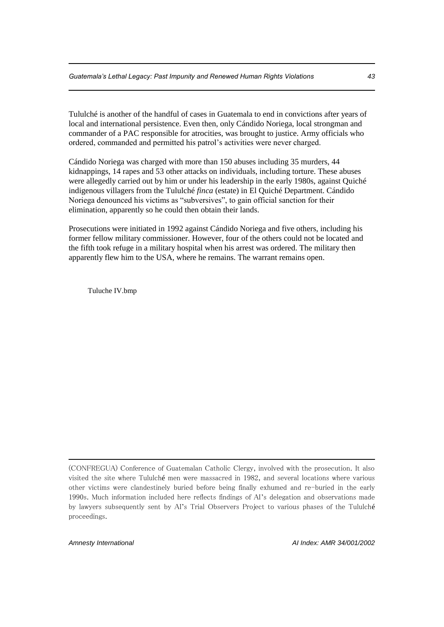Tululché is another of the handful of cases in Guatemala to end in convictions after years of local and international persistence. Even then, only Cándido Noriega, local strongman and commander of a PAC responsible for atrocities, was brought to justice. Army officials who ordered, commanded and permitted his patrol's activities were never charged.

Cándido Noriega was charged with more than 150 abuses including 35 murders, 44 kidnappings, 14 rapes and 53 other attacks on individuals, including torture. These abuses were allegedly carried out by him or under his leadership in the early 1980s, against Quiché indigenous villagers from the Tululché *finca* (estate) in El Quiché Department. Cándido Noriega denounced his victims as "subversives", to gain official sanction for their elimination, apparently so he could then obtain their lands.

Prosecutions were initiated in 1992 against Cándido Noriega and five others, including his former fellow military commissioner. However, four of the others could not be located and the fifth took refuge in a military hospital when his arrest was ordered. The military then apparently flew him to the USA, where he remains. The warrant remains open.

Tuluche IV.bmp

1

<sup>(</sup>CONFREGUA) Conference of Guatemalan Catholic Clergy, involved with the prosecution. It also visited the site where Tululché men were massacred in 1982, and several locations where various other victims were clandestinely buried before being finally exhumed and re-buried in the early 1990s. Much information included here reflects findings of AI's delegation and observations made by lawyers subsequently sent by AI's Trial Observers Project to various phases of the Tululché proceedings.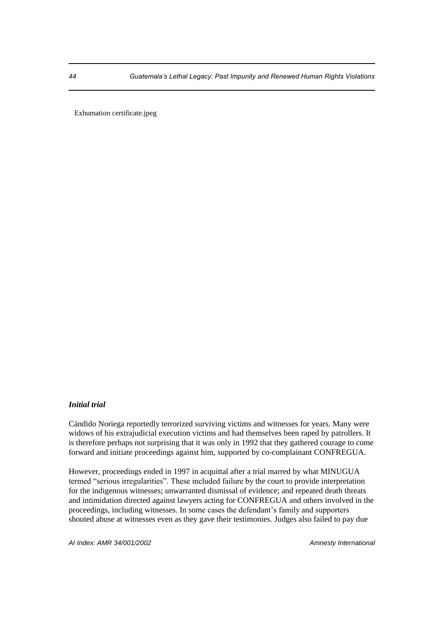Exhumation certificate.jpeg

## *Initial trial*

Cándido Noriega reportedly terrorized surviving victims and witnesses for years. Many were widows of his extrajudicial execution victims and had themselves been raped by patrollers. It is therefore perhaps not surprising that it was only in 1992 that they gathered courage to come forward and initiate proceedings against him, supported by co-complainant CONFREGUA.

However, proceedings ended in 1997 in acquittal after a trial marred by what MINUGUA termed "serious irregularities". These included failure by the court to provide interpretation for the indigenous witnesses; unwarranted dismissal of evidence; and repeated death threats and intimidation directed against lawyers acting for CONFREGUA and others involved in the proceedings, including witnesses. In some cases the defendant's family and supporters shouted abuse at witnesses even as they gave their testimonies. Judges also failed to pay due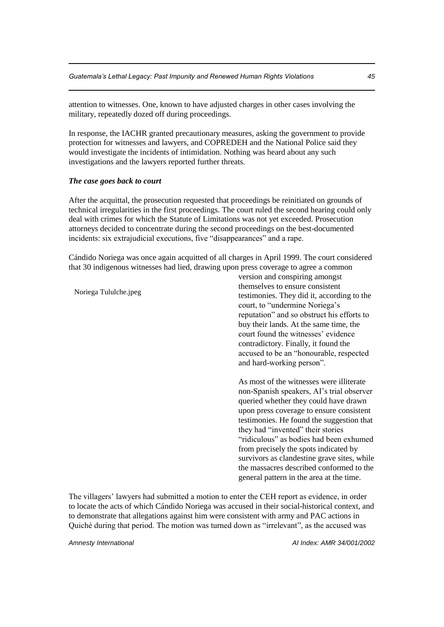attention to witnesses. One, known to have adjusted charges in other cases involving the military, repeatedly dozed off during proceedings.

In response, the IACHR granted precautionary measures, asking the government to provide protection for witnesses and lawyers, and COPREDEH and the National Police said they would investigate the incidents of intimidation. Nothing was heard about any such investigations and the lawyers reported further threats.

#### *The case goes back to court*

After the acquittal, the prosecution requested that proceedings be reinitiated on grounds of technical irregularities in the first proceedings. The court ruled the second hearing could only deal with crimes for which the Statute of Limitations was not yet exceeded. Prosecution attorneys decided to concentrate during the second proceedings on the best-documented incidents: six extrajudicial executions, five "disappearances" and a rape.

Cándido Noriega was once again acquitted of all charges in April 1999. The court considered that 30 indigenous witnesses had lied, drawing upon press coverage to agree a common

version and conspiring amongst themselves to ensure consistent testimonies. They did it, according to the court, to "undermine Noriega's reputation" and so obstruct his efforts to buy their lands. At the same time, the court found the witnesses' evidence contradictory. Finally, it found the accused to be an "honourable, respected and hard-working person".

As most of the witnesses were illiterate non-Spanish speakers, AI's trial observer queried whether they could have drawn upon press coverage to ensure consistent testimonies. He found the suggestion that they had "invented" their stories "ridiculous" as bodies had been exhumed from precisely the spots indicated by survivors as clandestine grave sites, while the massacres described conformed to the general pattern in the area at the time.

The villagers' lawyers had submitted a motion to enter the CEH report as evidence, in order to locate the acts of which Cándido Noriega was accused in their social-historical context, and to demonstrate that allegations against him were consistent with army and PAC actions in Quiché during that period. The motion was turned down as "irrelevant", as the accused was

*Amnesty International AI Index: AMR 34/001/2002*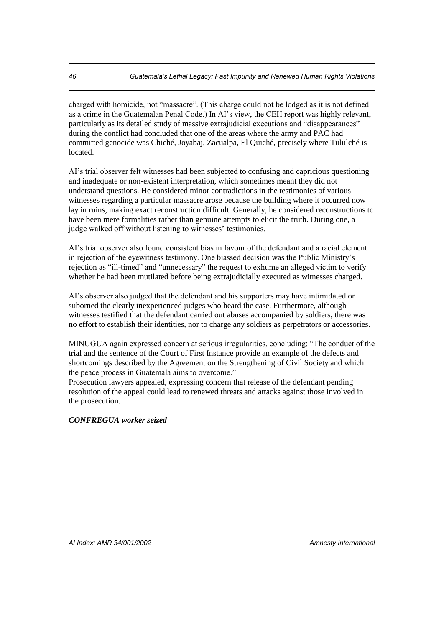charged with homicide, not "massacre". (This charge could not be lodged as it is not defined as a crime in the Guatemalan Penal Code.) In AI's view, the CEH report was highly relevant, particularly as its detailed study of massive extrajudicial executions and "disappearances" during the conflict had concluded that one of the areas where the army and PAC had committed genocide was Chiché, Joyabaj, Zacualpa, El Quiché, precisely where Tululché is located.

AI's trial observer felt witnesses had been subjected to confusing and capricious questioning and inadequate or non-existent interpretation, which sometimes meant they did not understand questions. He considered minor contradictions in the testimonies of various witnesses regarding a particular massacre arose because the building where it occurred now lay in ruins, making exact reconstruction difficult. Generally, he considered reconstructions to have been mere formalities rather than genuine attempts to elicit the truth. During one, a judge walked off without listening to witnesses' testimonies.

AI's trial observer also found consistent bias in favour of the defendant and a racial element in rejection of the eyewitness testimony. One biassed decision was the Public Ministry's rejection as "ill-timed" and "unnecessary" the request to exhume an alleged victim to verify whether he had been mutilated before being extrajudicially executed as witnesses charged.

AI's observer also judged that the defendant and his supporters may have intimidated or suborned the clearly inexperienced judges who heard the case. Furthermore, although witnesses testified that the defendant carried out abuses accompanied by soldiers, there was no effort to establish their identities, nor to charge any soldiers as perpetrators or accessories.

MINUGUA again expressed concern at serious irregularities, concluding: "The conduct of the trial and the sentence of the Court of First Instance provide an example of the defects and shortcomings described by the Agreement on the Strengthening of Civil Society and which the peace process in Guatemala aims to overcome."

Prosecution lawyers appealed, expressing concern that release of the defendant pending resolution of the appeal could lead to renewed threats and attacks against those involved in the prosecution.

## *CONFREGUA worker seized*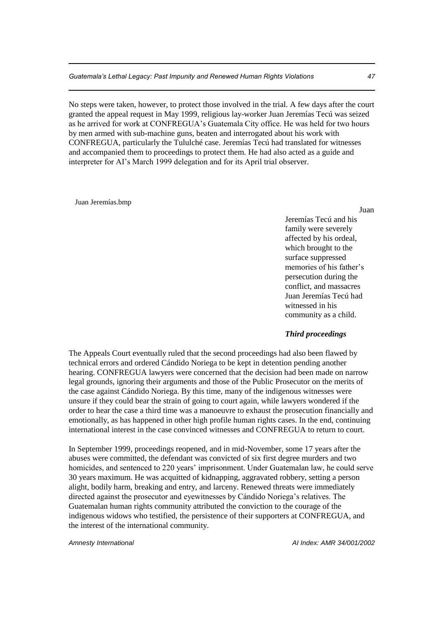No steps were taken, however, to protect those involved in the trial. A few days after the court granted the appeal request in May 1999, religious lay-worker Juan Jeremías Tecú was seized as he arrived for work at CONFREGUA's Guatemala City office. He was held for two hours by men armed with sub-machine guns, beaten and interrogated about his work with CONFREGUA, particularly the Tululché case. Jeremías Tecú had translated for witnesses and accompanied them to proceedings to protect them. He had also acted as a guide and interpreter for AI's March 1999 delegation and for its April trial observer.

#### Juan Jeremías.bmp

Juan

Jeremías Tecú and his family were severely affected by his ordeal, which brought to the surface suppressed memories of his father's persecution during the conflict, and massacres Juan Jeremías Tecú had witnessed in his community as a child.

#### *Third proceedings*

The Appeals Court eventually ruled that the second proceedings had also been flawed by technical errors and ordered Cándido Noriega to be kept in detention pending another hearing. CONFREGUA lawyers were concerned that the decision had been made on narrow legal grounds, ignoring their arguments and those of the Public Prosecutor on the merits of the case against Cándido Noriega. By this time, many of the indigenous witnesses were unsure if they could bear the strain of going to court again, while lawyers wondered if the order to hear the case a third time was a manoeuvre to exhaust the prosecution financially and emotionally, as has happened in other high profile human rights cases. In the end, continuing international interest in the case convinced witnesses and CONFREGUA to return to court.

In September 1999, proceedings reopened, and in mid-November, some 17 years after the abuses were committed, the defendant was convicted of six first degree murders and two homicides, and sentenced to 220 years' imprisonment. Under Guatemalan law, he could serve 30 years maximum. He was acquitted of kidnapping, aggravated robbery, setting a person alight, bodily harm, breaking and entry, and larceny. Renewed threats were immediately directed against the prosecutor and eyewitnesses by Cándido Noriega's relatives. The Guatemalan human rights community attributed the conviction to the courage of the indigenous widows who testified, the persistence of their supporters at CONFREGUA, and the interest of the international community.

*Amnesty International AI Index: AMR 34/001/2002*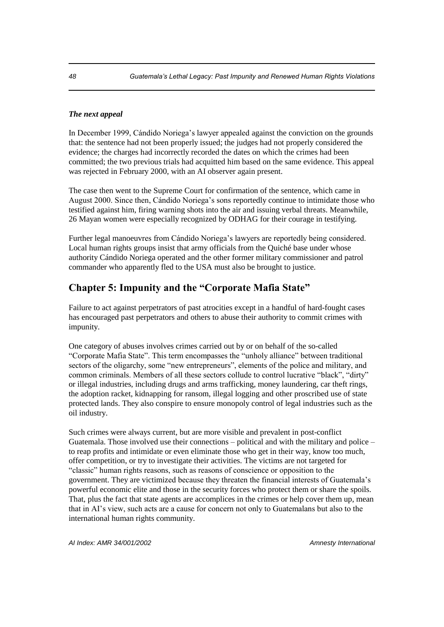### *The next appeal*

In December 1999, Cándido Noriega's lawyer appealed against the conviction on the grounds that: the sentence had not been properly issued; the judges had not properly considered the evidence; the charges had incorrectly recorded the dates on which the crimes had been committed; the two previous trials had acquitted him based on the same evidence. This appeal was rejected in February 2000, with an AI observer again present.

The case then went to the Supreme Court for confirmation of the sentence, which came in August 2000. Since then, Cándido Noriega's sons reportedly continue to intimidate those who testified against him, firing warning shots into the air and issuing verbal threats. Meanwhile, 26 Mayan women were especially recognized by ODHAG for their courage in testifying.

Further legal manoeuvres from Cándido Noriega's lawyers are reportedly being considered. Local human rights groups insist that army officials from the Quiché base under whose authority Cándido Noriega operated and the other former military commissioner and patrol commander who apparently fled to the USA must also be brought to justice.

# **Chapter 5: Impunity and the "Corporate Mafia State"**

Failure to act against perpetrators of past atrocities except in a handful of hard-fought cases has encouraged past perpetrators and others to abuse their authority to commit crimes with impunity.

One category of abuses involves crimes carried out by or on behalf of the so-called "Corporate Mafia State". This term encompasses the "unholy alliance" between traditional sectors of the oligarchy, some "new entrepreneurs", elements of the police and military, and common criminals. Members of all these sectors collude to control lucrative "black", "dirty" or illegal industries, including drugs and arms trafficking, money laundering, car theft rings, the adoption racket, kidnapping for ransom, illegal logging and other proscribed use of state protected lands. They also conspire to ensure monopoly control of legal industries such as the oil industry.

Such crimes were always current, but are more visible and prevalent in post-conflict Guatemala. Those involved use their connections – political and with the military and police – to reap profits and intimidate or even eliminate those who get in their way, know too much, offer competition, or try to investigate their activities. The victims are not targeted for "classic" human rights reasons, such as reasons of conscience or opposition to the government. They are victimized because they threaten the financial interests of Guatemala's powerful economic elite and those in the security forces who protect them or share the spoils. That, plus the fact that state agents are accomplices in the crimes or help cover them up, mean that in AI's view, such acts are a cause for concern not only to Guatemalans but also to the international human rights community.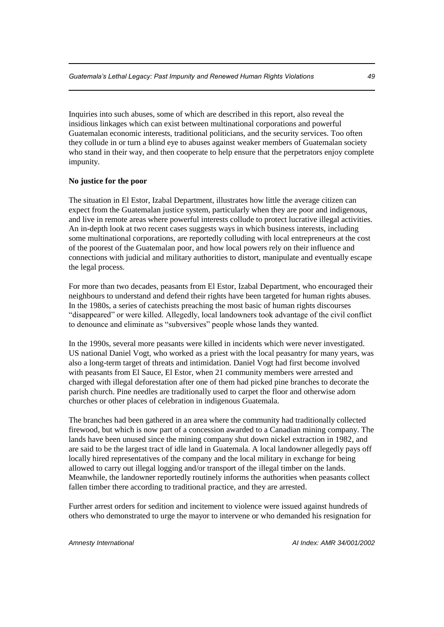Inquiries into such abuses, some of which are described in this report, also reveal the insidious linkages which can exist between multinational corporations and powerful Guatemalan economic interests, traditional politicians, and the security services. Too often they collude in or turn a blind eye to abuses against weaker members of Guatemalan society who stand in their way, and then cooperate to help ensure that the perpetrators enjoy complete impunity.

#### **No justice for the poor**

The situation in El Estor, Izabal Department, illustrates how little the average citizen can expect from the Guatemalan justice system, particularly when they are poor and indigenous, and live in remote areas where powerful interests collude to protect lucrative illegal activities. An in-depth look at two recent cases suggests ways in which business interests, including some multinational corporations, are reportedly colluding with local entrepreneurs at the cost of the poorest of the Guatemalan poor, and how local powers rely on their influence and connections with judicial and military authorities to distort, manipulate and eventually escape the legal process.

For more than two decades, peasants from El Estor, Izabal Department, who encouraged their neighbours to understand and defend their rights have been targeted for human rights abuses. In the 1980s, a series of catechists preaching the most basic of human rights discourses "disappeared" or were killed. Allegedly, local landowners took advantage of the civil conflict to denounce and eliminate as "subversives" people whose lands they wanted.

In the 1990s, several more peasants were killed in incidents which were never investigated. US national Daniel Vogt, who worked as a priest with the local peasantry for many years, was also a long-term target of threats and intimidation. Daniel Vogt had first become involved with peasants from El Sauce, El Estor, when 21 community members were arrested and charged with illegal deforestation after one of them had picked pine branches to decorate the parish church. Pine needles are traditionally used to carpet the floor and otherwise adorn churches or other places of celebration in indigenous Guatemala.

The branches had been gathered in an area where the community had traditionally collected firewood, but which is now part of a concession awarded to a Canadian mining company. The lands have been unused since the mining company shut down nickel extraction in 1982, and are said to be the largest tract of idle land in Guatemala. A local landowner allegedly pays off locally hired representatives of the company and the local military in exchange for being allowed to carry out illegal logging and/or transport of the illegal timber on the lands. Meanwhile, the landowner reportedly routinely informs the authorities when peasants collect fallen timber there according to traditional practice, and they are arrested.

Further arrest orders for sedition and incitement to violence were issued against hundreds of others who demonstrated to urge the mayor to intervene or who demanded his resignation for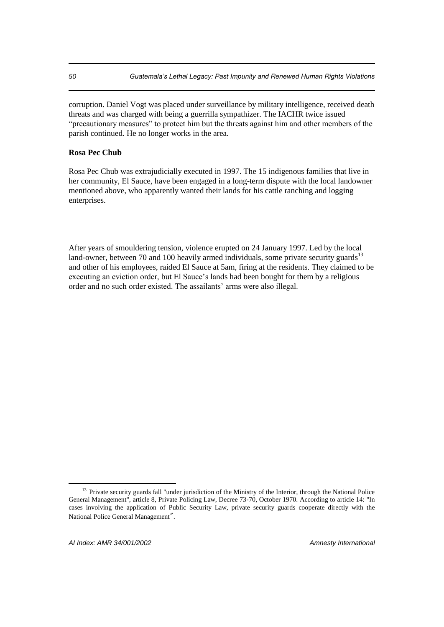corruption. Daniel Vogt was placed under surveillance by military intelligence, received death threats and was charged with being a guerrilla sympathizer. The IACHR twice issued "precautionary measures" to protect him but the threats against him and other members of the parish continued. He no longer works in the area.

### **Rosa Pec Chub**

Rosa Pec Chub was extrajudicially executed in 1997. The 15 indigenous families that live in her community, El Sauce, have been engaged in a long-term dispute with the local landowner mentioned above, who apparently wanted their lands for his cattle ranching and logging enterprises.

After years of smouldering tension, violence erupted on 24 January 1997. Led by the local land-owner, between 70 and 100 heavily armed individuals, some private security guards $13$ and other of his employees, raided El Sauce at 5am, firing at the residents. They claimed to be executing an eviction order, but El Sauce's lands had been bought for them by a religious order and no such order existed. The assailants' arms were also illegal.

<sup>&</sup>lt;sup>13</sup> Private security guards fall "under jurisdiction of the Ministry of the Interior, through the National Police General Management", article 8, Private Policing Law, Decree 73-70, October 1970. According to article 14: "In cases involving the application of Public Security Law, private security guards cooperate directly with the National Police General Management".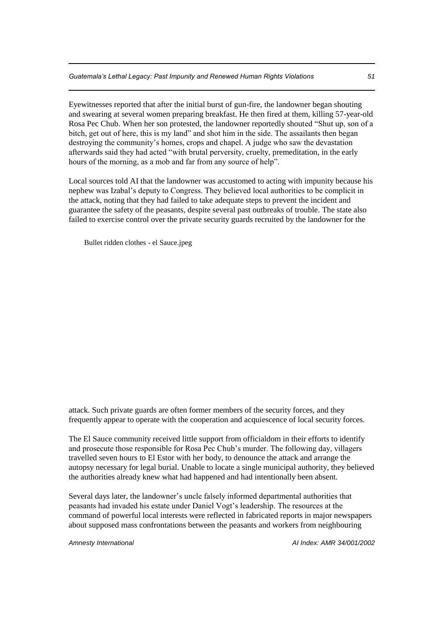Eyewitnesses reported that after the initial burst of gun-fire, the landowner began shouting and swearing at several women preparing breakfast. He then fired at them, killing 57-year-old Rosa Pec Chub. When her son protested, the landowner reportedly shouted "Shut up, son of a bitch, get out of here, this is my land" and shot him in the side. The assailants then began destroying the community's homes, crops and chapel. A judge who saw the devastation afterwards said they had acted "with brutal perversity, cruelty, premeditation, in the early hours of the morning, as a mob and far from any source of help".

Local sources told AI that the landowner was accustomed to acting with impunity because his nephew was Izabal's deputy to Congress. They believed local authorities to be complicit in the attack, noting that they had failed to take adequate steps to prevent the incident and guarantee the safety of the peasants, despite several past outbreaks of trouble. The state also failed to exercise control over the private security guards recruited by the landowner for the

Bullet ridden clothes - el Sauce.jpeg

attack. Such private guards are often former members of the security forces, and they frequently appear to operate with the cooperation and acquiescence of local security forces.

The El Sauce community received little support from officialdom in their efforts to identify and prosecute those responsible for Rosa Pec Chub's murder. The following day, villagers travelled seven hours to El Estor with her body, to denounce the attack and arrange the autopsy necessary for legal burial. Unable to locate a single municipal authority, they believed the authorities already knew what had happened and had intentionally been absent.

Several days later, the landowner's uncle falsely informed departmental authorities that peasants had invaded his estate under Daniel Vogt's leadership. The resources at the command of powerful local interests were reflected in fabricated reports in major newspapers about supposed mass confrontations between the peasants and workers from neighbouring

*Amnesty International AI Index: AMR 34/001/2002*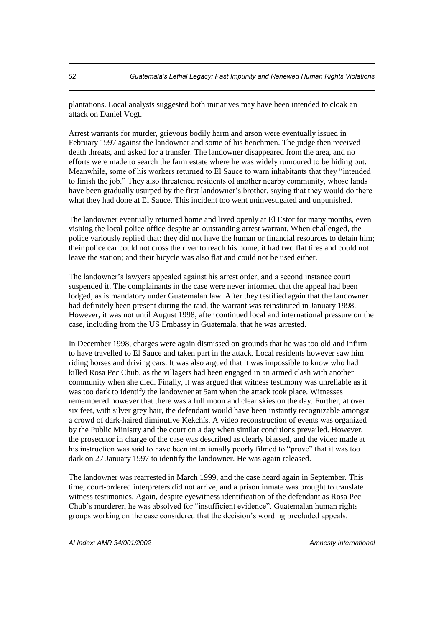plantations. Local analysts suggested both initiatives may have been intended to cloak an attack on Daniel Vogt.

Arrest warrants for murder, grievous bodily harm and arson were eventually issued in February 1997 against the landowner and some of his henchmen. The judge then received death threats, and asked for a transfer. The landowner disappeared from the area, and no efforts were made to search the farm estate where he was widely rumoured to be hiding out. Meanwhile, some of his workers returned to El Sauce to warn inhabitants that they "intended to finish the job." They also threatened residents of another nearby community, whose lands have been gradually usurped by the first landowner's brother, saying that they would do there what they had done at El Sauce. This incident too went uninvestigated and unpunished.

The landowner eventually returned home and lived openly at El Estor for many months, even visiting the local police office despite an outstanding arrest warrant. When challenged, the police variously replied that: they did not have the human or financial resources to detain him; their police car could not cross the river to reach his home; it had two flat tires and could not leave the station; and their bicycle was also flat and could not be used either.

The landowner's lawyers appealed against his arrest order, and a second instance court suspended it. The complainants in the case were never informed that the appeal had been lodged, as is mandatory under Guatemalan law. After they testified again that the landowner had definitely been present during the raid, the warrant was reinstituted in January 1998. However, it was not until August 1998, after continued local and international pressure on the case, including from the US Embassy in Guatemala, that he was arrested.

In December 1998, charges were again dismissed on grounds that he was too old and infirm to have travelled to El Sauce and taken part in the attack. Local residents however saw him riding horses and driving cars. It was also argued that it was impossible to know who had killed Rosa Pec Chub, as the villagers had been engaged in an armed clash with another community when she died. Finally, it was argued that witness testimony was unreliable as it was too dark to identify the landowner at 5am when the attack took place. Witnesses remembered however that there was a full moon and clear skies on the day. Further, at over six feet, with silver grey hair, the defendant would have been instantly recognizable amongst a crowd of dark-haired diminutive Kekchís. A video reconstruction of events was organized by the Public Ministry and the court on a day when similar conditions prevailed. However, the prosecutor in charge of the case was described as clearly biassed, and the video made at his instruction was said to have been intentionally poorly filmed to "prove" that it was too dark on 27 January 1997 to identify the landowner. He was again released.

The landowner was rearrested in March 1999, and the case heard again in September. This time, court-ordered interpreters did not arrive, and a prison inmate was brought to translate witness testimonies. Again, despite eyewitness identification of the defendant as Rosa Pec Chub's murderer, he was absolved for "insufficient evidence". Guatemalan human rights groups working on the case considered that the decision's wording precluded appeals.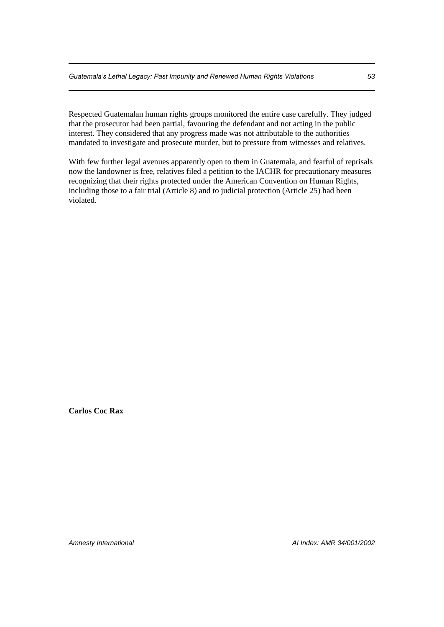Respected Guatemalan human rights groups monitored the entire case carefully. They judged that the prosecutor had been partial, favouring the defendant and not acting in the public interest. They considered that any progress made was not attributable to the authorities mandated to investigate and prosecute murder, but to pressure from witnesses and relatives.

With few further legal avenues apparently open to them in Guatemala, and fearful of reprisals now the landowner is free, relatives filed a petition to the IACHR for precautionary measures recognizing that their rights protected under the American Convention on Human Rights, including those to a fair trial (Article 8) and to judicial protection (Article 25) had been violated.

**Carlos Coc Rax** 

*Amnesty International AI Index: AMR 34/001/2002*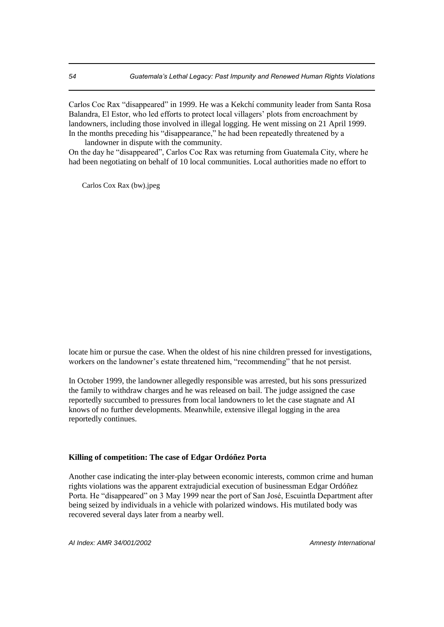Carlos Coc Rax "disappeared" in 1999. He was a Kekchí community leader from Santa Rosa Balandra, El Estor, who led efforts to protect local villagers' plots from encroachment by landowners, including those involved in illegal logging. He went missing on 21 April 1999. In the months preceding his "disappearance," he had been repeatedly threatened by a landowner in dispute with the community.

On the day he "disappeared", Carlos Coc Rax was returning from Guatemala City, where he had been negotiating on behalf of 10 local communities. Local authorities made no effort to

Carlos Cox Rax (bw).jpeg

locate him or pursue the case. When the oldest of his nine children pressed for investigations, workers on the landowner's estate threatened him, "recommending" that he not persist.

In October 1999, the landowner allegedly responsible was arrested, but his sons pressurized the family to withdraw charges and he was released on bail. The judge assigned the case reportedly succumbed to pressures from local landowners to let the case stagnate and AI knows of no further developments. Meanwhile, extensive illegal logging in the area reportedly continues.

#### **Killing of competition: The case of Edgar Ordóñez Porta**

Another case indicating the inter-play between economic interests, common crime and human rights violations was the apparent extrajudicial execution of businessman Edgar Ordóñez Porta. He "disappeared" on 3 May 1999 near the port of San José, Escuintla Department after being seized by individuals in a vehicle with polarized windows. His mutilated body was recovered several days later from a nearby well.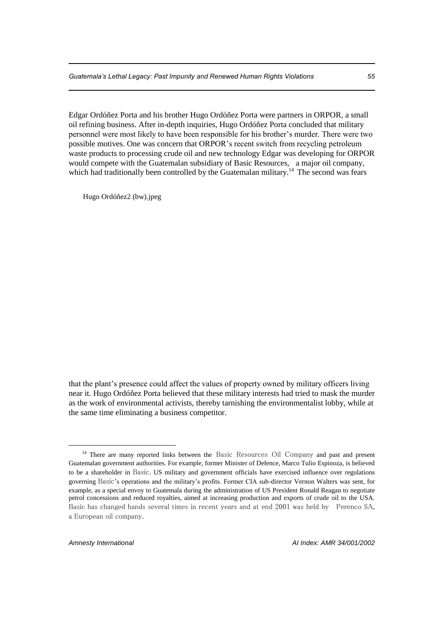Edgar Ordóñez Porta and his brother Hugo Ordóñez Porta were partners in ORPOR, a small oil refining business. After in-depth inquiries, Hugo Ordóñez Porta concluded that military personnel were most likely to have been responsible for his brother's murder. There were two possible motives. One was concern that ORPOR's recent switch from recycling petroleum waste products to processing crude oil and new technology Edgar was developing for ORPOR would compete with the Guatemalan subsidiary of Basic Resources, a major oil company, which had traditionally been controlled by the Guatemalan military.<sup>14</sup> The second was fears

Hugo Ordóñez2 (bw).jpeg

that the plant's presence could affect the values of property owned by military officers living near it. Hugo Ordóñez Porta believed that these military interests had tried to mask the murder as the work of environmental activists, thereby tarnishing the environmentalist lobby, while at the same time eliminating a business competitor.

<sup>&</sup>lt;sup>14</sup> There are many reported links between the Basic Resources Oil Company and past and present Guatemalan government authorities. For example, former Minister of Defence, Marco Tulio Espinoza, is believed to be a shareholder in Basic. US military and government officials have exercised influence over regulations governing Basic's operations and the military's profits. Former CIA sub-director Vernon Walters was sent, for example, as a special envoy to Guatemala during the administration of US President Ronald Reagan to negotiate petrol concessions and reduced royalties, aimed at increasing production and exports of crude oil to the USA. Basic has changed hands several times in recent years and at end 2001 was held by Perenco SA, a European oil company.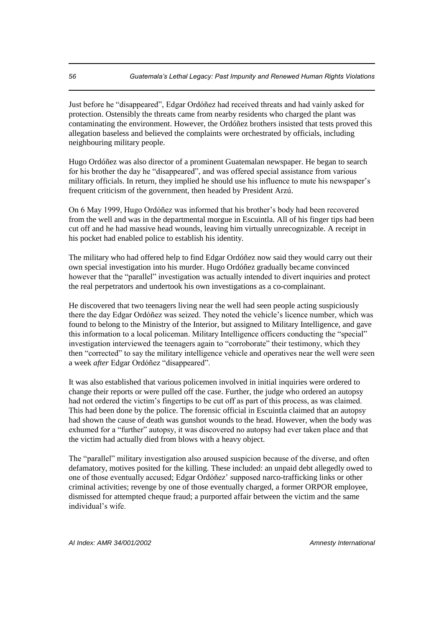Just before he "disappeared", Edgar Ordóñez had received threats and had vainly asked for protection. Ostensibly the threats came from nearby residents who charged the plant was contaminating the environment. However, the Ordóñez brothers insisted that tests proved this allegation baseless and believed the complaints were orchestrated by officials, including neighbouring military people.

Hugo Ordóñez was also director of a prominent Guatemalan newspaper. He began to search for his brother the day he "disappeared", and was offered special assistance from various military officials. In return, they implied he should use his influence to mute his newspaper's frequent criticism of the government, then headed by President Arzú.

On 6 May 1999, Hugo Ordóñez was informed that his brother's body had been recovered from the well and was in the departmental morgue in Escuintla. All of his finger tips had been cut off and he had massive head wounds, leaving him virtually unrecognizable. A receipt in his pocket had enabled police to establish his identity.

The military who had offered help to find Edgar Ordóñez now said they would carry out their own special investigation into his murder. Hugo Ordóñez gradually became convinced however that the "parallel" investigation was actually intended to divert inquiries and protect the real perpetrators and undertook his own investigations as a co-complainant.

He discovered that two teenagers living near the well had seen people acting suspiciously there the day Edgar Ordóñez was seized. They noted the vehicle's licence number, which was found to belong to the Ministry of the Interior, but assigned to Military Intelligence, and gave this information to a local policeman. Military Intelligence officers conducting the "special" investigation interviewed the teenagers again to "corroborate" their testimony, which they then "corrected" to say the military intelligence vehicle and operatives near the well were seen a week *after* Edgar Ordóñez "disappeared".

It was also established that various policemen involved in initial inquiries were ordered to change their reports or were pulled off the case. Further, the judge who ordered an autopsy had not ordered the victim's fingertips to be cut off as part of this process, as was claimed. This had been done by the police. The forensic official in Escuintla claimed that an autopsy had shown the cause of death was gunshot wounds to the head. However, when the body was exhumed for a "further" autopsy, it was discovered no autopsy had ever taken place and that the victim had actually died from blows with a heavy object.

The "parallel" military investigation also aroused suspicion because of the diverse, and often defamatory, motives posited for the killing. These included: an unpaid debt allegedly owed to one of those eventually accused; Edgar Ordóñez' supposed narco-trafficking links or other criminal activities; revenge by one of those eventually charged, a former ORPOR employee, dismissed for attempted cheque fraud; a purported affair between the victim and the same individual's wife.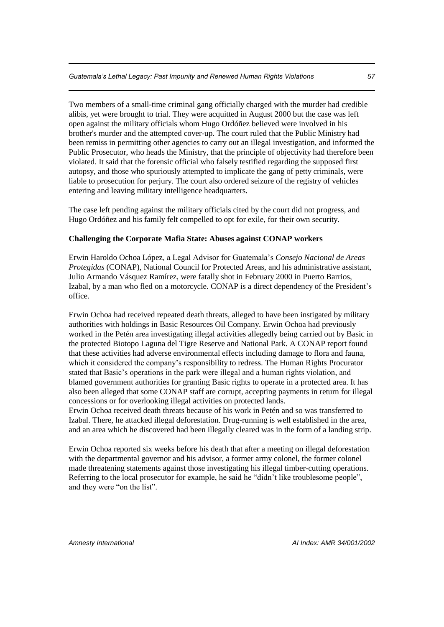Two members of a small-time criminal gang officially charged with the murder had credible alibis, yet were brought to trial. They were acquitted in August 2000 but the case was left open against the military officials whom Hugo Ordóñez believed were involved in his brother's murder and the attempted cover-up. The court ruled that the Public Ministry had been remiss in permitting other agencies to carry out an illegal investigation, and informed the Public Prosecutor, who heads the Ministry, that the principle of objectivity had therefore been violated. It said that the forensic official who falsely testified regarding the supposed first autopsy, and those who spuriously attempted to implicate the gang of petty criminals, were liable to prosecution for perjury. The court also ordered seizure of the registry of vehicles entering and leaving military intelligence headquarters.

The case left pending against the military officials cited by the court did not progress, and Hugo Ordóñez and his family felt compelled to opt for exile, for their own security.

#### **Challenging the Corporate Mafia State: Abuses against CONAP workers**

Erwin Haroldo Ochoa López*,* a Legal Advisor for Guatemala's *Consejo Nacional de Areas Protegidas* (CONAP), National Council for Protected Areas, and his administrative assistant, Julio Armando Vásquez Ramírez, were fatally shot in February 2000 in Puerto Barrios, Izabal, by a man who fled on a motorcycle. CONAP is a direct dependency of the President's office.

Erwin Ochoa had received repeated death threats, alleged to have been instigated by military authorities with holdings in Basic Resources Oil Company. Erwin Ochoa had previously worked in the Petén area investigating illegal activities allegedly being carried out by Basic in the protected Biotopo Laguna del Tigre Reserve and National Park. A CONAP report found that these activities had adverse environmental effects including damage to flora and fauna, which it considered the company's responsibility to redress. The Human Rights Procurator stated that Basic's operations in the park were illegal and a human rights violation, and blamed government authorities for granting Basic rights to operate in a protected area. It has also been alleged that some CONAP staff are corrupt, accepting payments in return for illegal concessions or for overlooking illegal activities on protected lands.

Erwin Ochoa received death threats because of his work in Petén and so was transferred to Izabal. There, he attacked illegal deforestation. Drug-running is well established in the area, and an area which he discovered had been illegally cleared was in the form of a landing strip.

Erwin Ochoa reported six weeks before his death that after a meeting on illegal deforestation with the departmental governor and his advisor, a former army colonel, the former colonel made threatening statements against those investigating his illegal timber-cutting operations. Referring to the local prosecutor for example, he said he "didn't like troublesome people", and they were "on the list".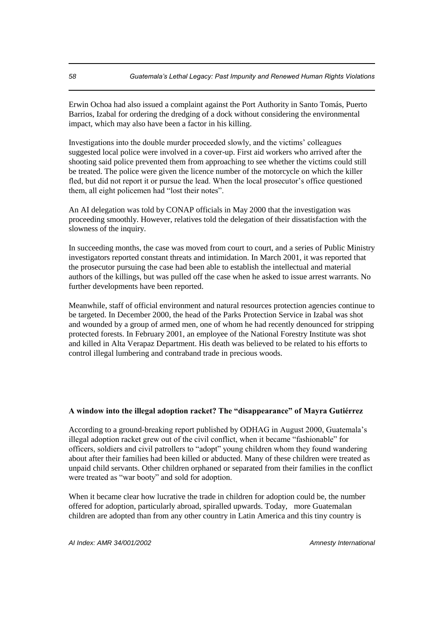Erwin Ochoa had also issued a complaint against the Port Authority in Santo Tomás, Puerto Barrios, Izabal for ordering the dredging of a dock without considering the environmental impact, which may also have been a factor in his killing.

Investigations into the double murder proceeded slowly, and the victims' colleagues suggested local police were involved in a cover-up. First aid workers who arrived after the shooting said police prevented them from approaching to see whether the victims could still be treated. The police were given the licence number of the motorcycle on which the killer fled, but did not report it or pursue the lead. When the local prosecutor's office questioned them, all eight policemen had "lost their notes".

An AI delegation was told by CONAP officials in May 2000 that the investigation was proceeding smoothly. However, relatives told the delegation of their dissatisfaction with the slowness of the inquiry.

In succeeding months, the case was moved from court to court, and a series of Public Ministry investigators reported constant threats and intimidation. In March 2001, it was reported that the prosecutor pursuing the case had been able to establish the intellectual and material authors of the killings, but was pulled off the case when he asked to issue arrest warrants. No further developments have been reported.

Meanwhile, staff of official environment and natural resources protection agencies continue to be targeted. In December 2000, the head of the Parks Protection Service in Izabal was shot and wounded by a group of armed men, one of whom he had recently denounced for stripping protected forests. In February 2001, an employee of the National Forestry Institute was shot and killed in Alta Verapaz Department. His death was believed to be related to his efforts to control illegal lumbering and contraband trade in precious woods.

## **A window into the illegal adoption racket? The "disappearance" of Mayra Gutiérrez**

According to a ground-breaking report published by ODHAG in August 2000, Guatemala's illegal adoption racket grew out of the civil conflict, when it became "fashionable" for officers, soldiers and civil patrollers to "adopt" young children whom they found wandering about after their families had been killed or abducted. Many of these children were treated as unpaid child servants. Other children orphaned or separated from their families in the conflict were treated as "war booty" and sold for adoption.

When it became clear how lucrative the trade in children for adoption could be, the number offered for adoption, particularly abroad, spiralled upwards. Today, more Guatemalan children are adopted than from any other country in Latin America and this tiny country is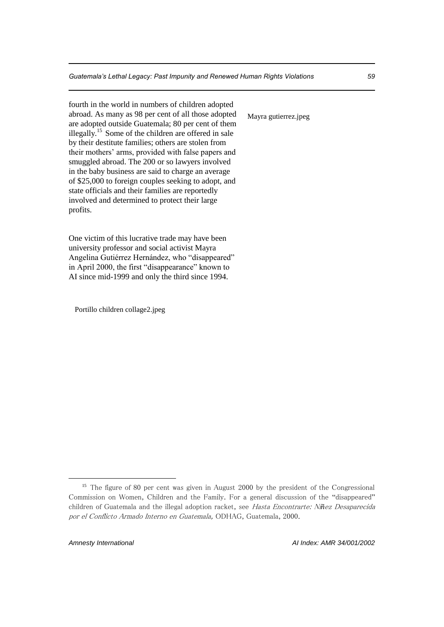fourth in the world in numbers of children adopted abroad. As many as 98 per cent of all those adopted are adopted outside Guatemala; 80 per cent of them illegally.<sup>15</sup> Some of the children are offered in sale by their destitute families; others are stolen from their mothers' arms, provided with false papers and smuggled abroad. The 200 or so lawyers involved in the baby business are said to charge an average of \$25,000 to foreign couples seeking to adopt, and state officials and their families are reportedly involved and determined to protect their large profits.

One victim of this lucrative trade may have been university professor and social activist Mayra Angelina Gutiérrez Hernández, who "disappeared" in April 2000, the first "disappearance" known to AI since mid-1999 and only the third since 1994.

Portillo children collage2.jpeg

Mayra gutierrez.jpeg

<sup>&</sup>lt;sup>15</sup> The figure of 80 per cent was given in August 2000 by the president of the Congressional Commission on Women, Children and the Family. For a general discussion of the "disappeared" children of Guatemala and the illegal adoption racket, see Hasta Encontrarte: Ni*ñ*ez Desaparecida por el Conflicto Armado Interno en Guatemala, ODHAG, Guatemala, 2000.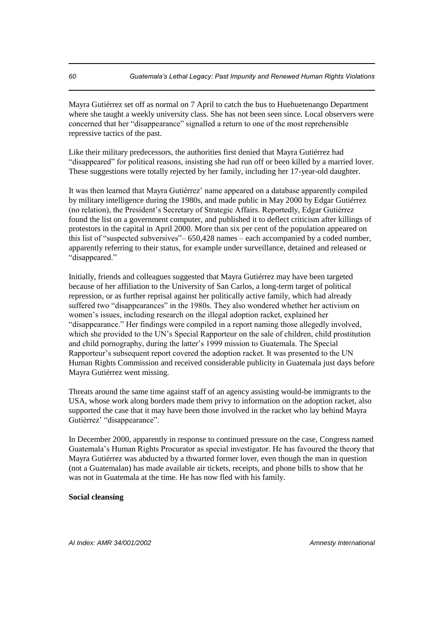Mayra Gutiérrez set off as normal on 7 April to catch the bus to Huehuetenango Department where she taught a weekly university class. She has not been seen since. Local observers were concerned that her "disappearance" signalled a return to one of the most reprehensible repressive tactics of the past.

Like their military predecessors, the authorities first denied that Mayra Gutiérrez had "disappeared" for political reasons, insisting she had run off or been killed by a married lover. These suggestions were totally rejected by her family, including her 17-year-old daughter.

It was then learned that Mayra Gutiérrez' name appeared on a database apparently compiled by military intelligence during the 1980s, and made public in May 2000 by Edgar Gutiérrez (no relation), the President's Secretary of Strategic Affairs. Reportedly, Edgar Gutiérrez found the list on a government computer, and published it to deflect criticism after killings of protestors in the capital in April 2000. More than six per cent of the population appeared on this list of "suspected subversives"– 650,428 names – each accompanied by a coded number, apparently referring to their status, for example under surveillance, detained and released or "disappeared."

Initially, friends and colleagues suggested that Mayra Gutiérrez may have been targeted because of her affiliation to the University of San Carlos, a long-term target of political repression, or as further reprisal against her politically active family, which had already suffered two "disappearances" in the 1980s. They also wondered whether her activism on women's issues, including research on the illegal adoption racket, explained her "disappearance." Her findings were compiled in a report naming those allegedly involved, which she provided to the UN's Special Rapporteur on the sale of children, child prostitution and child pornography, during the latter's 1999 mission to Guatemala. The Special Rapporteur's subsequent report covered the adoption racket. It was presented to the UN Human Rights Commission and received considerable publicity in Guatemala just days before Mayra Gutiérrez went missing.

Threats around the same time against staff of an agency assisting would-be immigrants to the USA, whose work along borders made them privy to information on the adoption racket, also supported the case that it may have been those involved in the racket who lay behind Mayra Gutiérrez' "disappearance".

In December 2000, apparently in response to continued pressure on the case, Congress named Guatemala's Human Rights Procurator as special investigator. He has favoured the theory that Mayra Gutiérrez was abducted by a thwarted former lover, even though the man in question (not a Guatemalan) has made available air tickets, receipts, and phone bills to show that he was not in Guatemala at the time. He has now fled with his family.

#### **Social cleansing**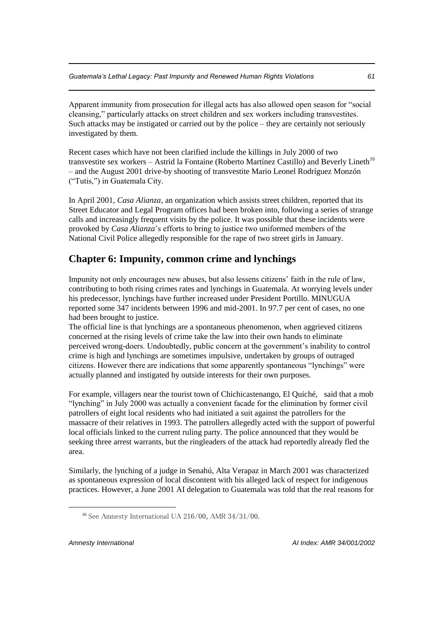Apparent immunity from prosecution for illegal acts has also allowed open season for "social cleansing," particularly attacks on street children and sex workers including transvestites. Such attacks may be instigated or carried out by the police – they are certainly not seriously investigated by them.

Recent cases which have not been clarified include the killings in July 2000 of two transvestite sex workers – Astrid la Fontaine (Roberto Martínez Castillo) and Beverly Lineth<sup>16</sup> – and the August 2001 drive-by shooting of transvestite Mario Leonel Rodríguez Monzón ("Tutis,") in Guatemala City.

In April 2001, *Casa Alianza*, an organization which assists street children, reported that its Street Educator and Legal Program offices had been broken into, following a series of strange calls and increasingly frequent visits by the police. It was possible that these incidents were provoked by *Casa Alianza*'s efforts to bring to justice two uniformed members of the National Civil Police allegedly responsible for the rape of two street girls in January.

# **Chapter 6: Impunity, common crime and lynchings**

Impunity not only encourages new abuses, but also lessens citizens' faith in the rule of law, contributing to both rising crimes rates and lynchings in Guatemala. At worrying levels under his predecessor, lynchings have further increased under President Portillo. MINUGUA reported some 347 incidents between 1996 and mid-2001. In 97.7 per cent of cases, no one had been brought to justice.

The official line is that lynchings are a spontaneous phenomenon, when aggrieved citizens concerned at the rising levels of crime take the law into their own hands to eliminate perceived wrong-doers. Undoubtedly, public concern at the government's inability to control crime is high and lynchings are sometimes impulsive, undertaken by groups of outraged citizens. However there are indications that some apparently spontaneous "lynchings" were actually planned and instigated by outside interests for their own purposes.

For example, villagers near the tourist town of Chichicastenango, El Quiché, said that a mob "lynching" in July 2000 was actually a convenient facade for the elimination by former civil patrollers of eight local residents who had initiated a suit against the patrollers for the massacre of their relatives in 1993. The patrollers allegedly acted with the support of powerful local officials linked to the current ruling party. The police announced that they would be seeking three arrest warrants, but the ringleaders of the attack had reportedly already fled the area.

Similarly, the lynching of a judge in Senahú, Alta Verapaz in March 2001 was characterized as spontaneous expression of local discontent with his alleged lack of respect for indigenous practices. However, a June 2001 AI delegation to Guatemala was told that the real reasons for

<sup>&</sup>lt;sup>16</sup> See Amnesty International UA  $216/00$ , AMR  $34/31/00$ .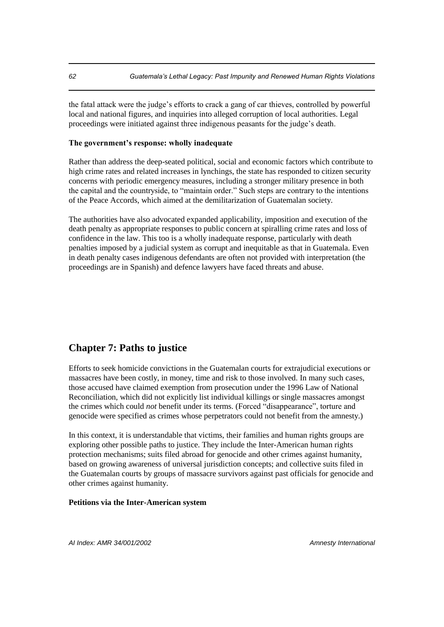the fatal attack were the judge's efforts to crack a gang of car thieves, controlled by powerful local and national figures, and inquiries into alleged corruption of local authorities. Legal proceedings were initiated against three indigenous peasants for the judge's death.

### **The government's response: wholly inadequate**

Rather than address the deep-seated political, social and economic factors which contribute to high crime rates and related increases in lynchings, the state has responded to citizen security concerns with periodic emergency measures, including a stronger military presence in both the capital and the countryside, to "maintain order." Such steps are contrary to the intentions of the Peace Accords, which aimed at the demilitarization of Guatemalan society.

The authorities have also advocated expanded applicability, imposition and execution of the death penalty as appropriate responses to public concern at spiralling crime rates and loss of confidence in the law. This too is a wholly inadequate response, particularly with death penalties imposed by a judicial system as corrupt and inequitable as that in Guatemala. Even in death penalty cases indigenous defendants are often not provided with interpretation (the proceedings are in Spanish) and defence lawyers have faced threats and abuse.

## **Chapter 7: Paths to justice**

Efforts to seek homicide convictions in the Guatemalan courts for extrajudicial executions or massacres have been costly, in money, time and risk to those involved. In many such cases, those accused have claimed exemption from prosecution under the 1996 Law of National Reconciliation, which did not explicitly list individual killings or single massacres amongst the crimes which could *not* benefit under its terms. (Forced "disappearance", torture and genocide were specified as crimes whose perpetrators could not benefit from the amnesty.)

In this context, it is understandable that victims, their families and human rights groups are exploring other possible paths to justice. They include the Inter-American human rights protection mechanisms; suits filed abroad for genocide and other crimes against humanity, based on growing awareness of universal jurisdiction concepts; and collective suits filed in the Guatemalan courts by groups of massacre survivors against past officials for genocide and other crimes against humanity.

#### **Petitions via the Inter-American system**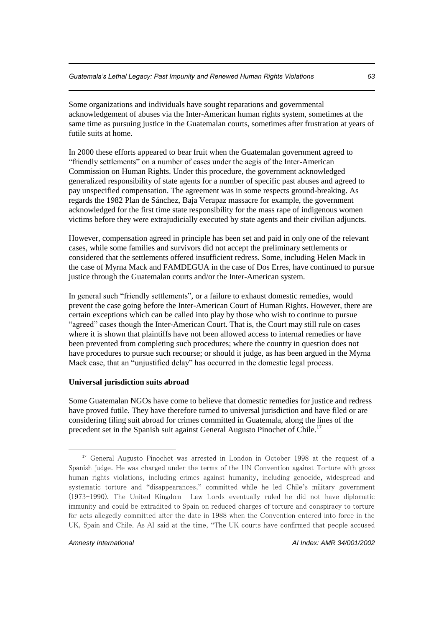Some organizations and individuals have sought reparations and governmental acknowledgement of abuses via the Inter-American human rights system, sometimes at the same time as pursuing justice in the Guatemalan courts, sometimes after frustration at years of futile suits at home.

In 2000 these efforts appeared to bear fruit when the Guatemalan government agreed to "friendly settlements" on a number of cases under the aegis of the Inter-American Commission on Human Rights. Under this procedure, the government acknowledged generalized responsibility of state agents for a number of specific past abuses and agreed to pay unspecified compensation. The agreement was in some respects ground-breaking. As regards the 1982 Plan de Sánchez, Baja Verapaz massacre for example, the government acknowledged for the first time state responsibility for the mass rape of indigenous women victims before they were extrajudicially executed by state agents and their civilian adjuncts.

However, compensation agreed in principle has been set and paid in only one of the relevant cases, while some families and survivors did not accept the preliminary settlements or considered that the settlements offered insufficient redress. Some, including Helen Mack in the case of Myrna Mack and FAMDEGUA in the case of Dos Erres, have continued to pursue justice through the Guatemalan courts and/or the Inter-American system.

In general such "friendly settlements", or a failure to exhaust domestic remedies, would prevent the case going before the Inter-American Court of Human Rights. However, there are certain exceptions which can be called into play by those who wish to continue to pursue "agreed" cases though the Inter-American Court. That is, the Court may still rule on cases where it is shown that plaintiffs have not been allowed access to internal remedies or have been prevented from completing such procedures; where the country in question does not have procedures to pursue such recourse; or should it judge, as has been argued in the Myrna Mack case, that an "unjustified delay" has occurred in the domestic legal process.

#### **Universal jurisdiction suits abroad**

Some Guatemalan NGOs have come to believe that domestic remedies for justice and redress have proved futile. They have therefore turned to universal jurisdiction and have filed or are considering filing suit abroad for crimes committed in Guatemala, along the lines of the precedent set in the Spanish suit against General Augusto Pinochet of Chile.<sup>17</sup>

<sup>17</sup> General Augusto Pinochet was arrested in London in October 1998 at the request of a Spanish judge. He was charged under the terms of the UN Convention against Torture with gross human rights violations, including crimes against humanity, including genocide, widespread and systematic torture and "disappearances," committed while he led Chile's military government (1973-1990). The United Kingdom Law Lords eventually ruled he did not have diplomatic immunity and could be extradited to Spain on reduced charges of torture and conspiracy to torture for acts allegedly committed after the date in 1988 when the Convention entered into force in the UK, Spain and Chile. As AI said at the time, "The UK courts have confirmed that people accused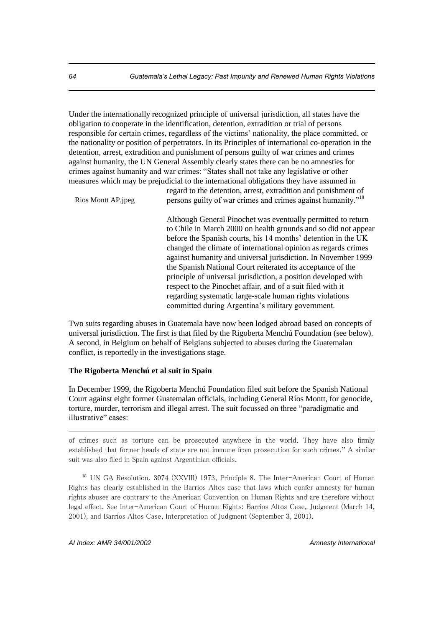Under the internationally recognized principle of universal jurisdiction, all states have the obligation to cooperate in the identification, detention, extradition or trial of persons responsible for certain crimes, regardless of the victims' nationality, the place committed, or the nationality or position of perpetrators. In its Principles of international co-operation in the detention, arrest, extradition and punishment of persons guilty of war crimes and crimes against humanity, the UN General Assembly clearly states there can be no amnesties for crimes against humanity and war crimes: "States shall not take any legislative or other measures which may be prejudicial to the international obligations they have assumed in

Rios Montt AP.jpeg

regard to the detention, arrest, extradition and punishment of persons guilty of war crimes and crimes against humanity."<sup>18</sup>

Although General Pinochet was eventually permitted to return to Chile in March 2000 on health grounds and so did not appear before the Spanish courts, his 14 months' detention in the UK changed the climate of international opinion as regards crimes against humanity and universal jurisdiction. In November 1999 the Spanish National Court reiterated its acceptance of the principle of universal jurisdiction, a position developed with respect to the Pinochet affair, and of a suit filed with it regarding systematic large-scale human rights violations committed during Argentina's military government.

Two suits regarding abuses in Guatemala have now been lodged abroad based on concepts of universal jurisdiction. The first is that filed by the Rigoberta Menchú Foundation (see below). A second, in Belgium on behalf of Belgians subjected to abuses during the Guatemalan conflict, is reportedly in the investigations stage.

#### **The Rigoberta Menchú et al suit in Spain**

In December 1999, the Rigoberta Menchú Foundation filed suit before the Spanish National Court against eight former Guatemalan officials, including General Ríos Montt, for genocide, torture, murder, terrorism and illegal arrest. The suit focussed on three "paradigmatic and illustrative" cases:

of crimes such as torture can be prosecuted anywhere in the world. They have also firmly established that former heads of state are not immune from prosecution for such crimes." A similar suit was also filed in Spain against Argentinian officials.

<sup>18</sup> UN GA Resolution. 3074 (XXVIII) 1973, Principle 8. The Inter-American Court of Human Rights has clearly established in the Barrios Altos case that laws which confer amnesty for human rights abuses are contrary to the American Convention on Human Rights and are therefore without legal effect. See Inter-American Court of Human Rights: Barrios Altos Case, Judgment (March 14, 2001), and Barrios Altos Case, Interpretation of Judgment (September 3, 2001).

*AI Index: AMR 34/001/2002 Amnesty International* 

<u>.</u>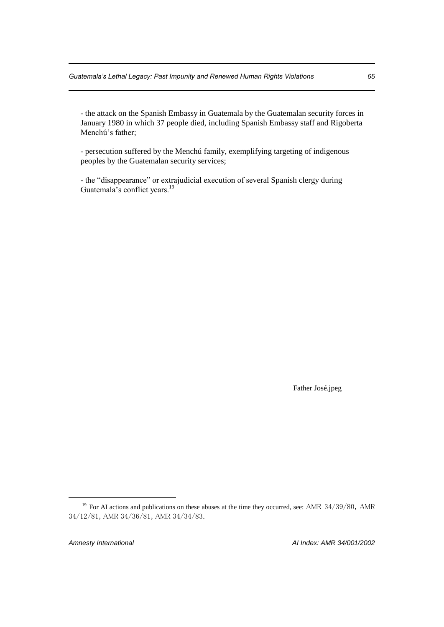- the attack on the Spanish Embassy in Guatemala by the Guatemalan security forces in January 1980 in which 37 people died, including Spanish Embassy staff and Rigoberta Menchú's father;

- persecution suffered by the Menchú family, exemplifying targeting of indigenous peoples by the Guatemalan security services;

- the "disappearance" or extrajudicial execution of several Spanish clergy during Guatemala's conflict years.<sup>19</sup>

Father José.jpeg

<sup>&</sup>lt;sup>19</sup> For AI actions and publications on these abuses at the time they occurred, see: AMR  $34/39/80$ , AMR 34/12/81, AMR 34/36/81, AMR 34/34/83.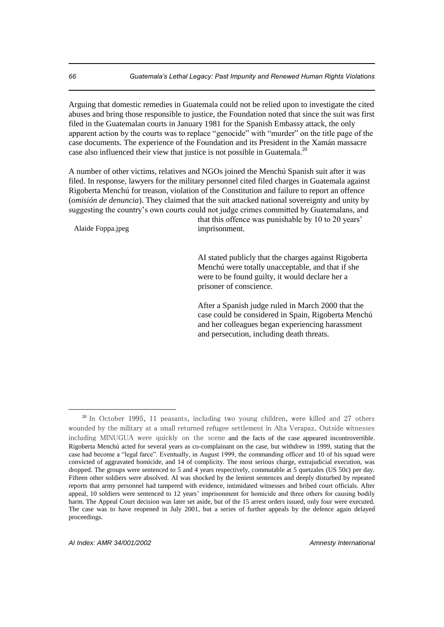Arguing that domestic remedies in Guatemala could not be relied upon to investigate the cited abuses and bring those responsible to justice, the Foundation noted that since the suit was first filed in the Guatemalan courts in January 1981 for the Spanish Embassy attack, the only apparent action by the courts was to replace "genocide" with "murder" on the title page of the case documents. The experience of the Foundation and its President in the Xamán massacre case also influenced their view that justice is not possible in Guatemala.<sup>20</sup>

A number of other victims, relatives and NGOs joined the Menchú Spanish suit after it was filed. In response, lawyers for the military personnel cited filed charges in Guatemala against Rigoberta Menchú for treason, violation of the Constitution and failure to report an offence (*omisión de denuncia*). They claimed that the suit attacked national sovereignty and unity by suggesting the country's own courts could not judge crimes committed by Guatemalans, and

Alaide Foppa.jpeg

that this offence was punishable by 10 to 20 years' imprisonment.

AI stated publicly that the charges against Rigoberta Menchú were totally unacceptable, and that if she were to be found guilty, it would declare her a prisoner of conscience.

After a Spanish judge ruled in March 2000 that the case could be considered in Spain, Rigoberta Menchú and her colleagues began experiencing harassment and persecution, including death threats.

 $20$  In October 1995, 11 peasants, including two young children, were killed and 27 others wounded by the military at a small returned refugee settlement in Alta Verapaz. Outside witnesses including MINUGUA were quickly on the scene and the facts of the case appeared incontrovertible. Rigoberta Menchú acted for several years as co-complainant on the case, but withdrew in 1999, stating that the case had become a "legal farce". Eventually, in August 1999, the commanding officer and 10 of his squad were convicted of aggravated homicide, and 14 of complicity. The most serious charge, extrajudicial execution, was dropped. The groups were sentenced to 5 and 4 years respectively, commutable at 5 quetzales (US 50c) per day. Fifteen other soldiers were absolved. AI was shocked by the lenient sentences and deeply disturbed by repeated reports that army personnel had tampered with evidence, intimidated witnesses and bribed court officials. After appeal, 10 soldiers were sentenced to 12 years' imprisonment for homicide and three others for causing bodily harm. The Appeal Court decision was later set aside, but of the 15 arrest orders issued, only four were executed. The case was to have reopened in July 2001, but a series of further appeals by the defence again delayed proceedings.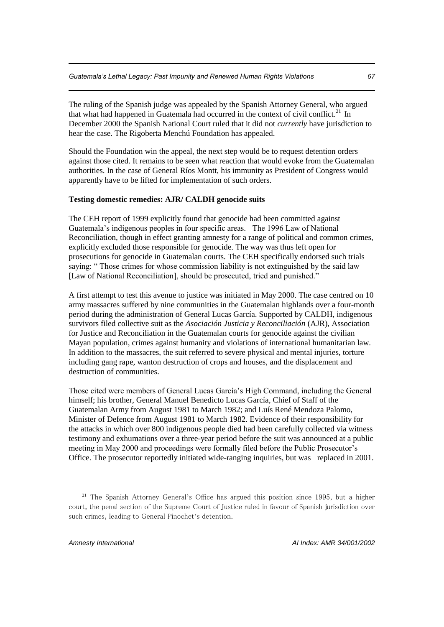The ruling of the Spanish judge was appealed by the Spanish Attorney General, who argued that what had happened in Guatemala had occurred in the context of civil conflict.<sup>21</sup> In December 2000 the Spanish National Court ruled that it did not *currently* have jurisdiction to hear the case. The Rigoberta Menchú Foundation has appealed.

Should the Foundation win the appeal, the next step would be to request detention orders against those cited. It remains to be seen what reaction that would evoke from the Guatemalan authorities. In the case of General Ríos Montt, his immunity as President of Congress would apparently have to be lifted for implementation of such orders.

## **Testing domestic remedies: AJR/ CALDH genocide suits**

The CEH report of 1999 explicitly found that genocide had been committed against Guatemala's indigenous peoples in four specific areas. The 1996 Law of National Reconciliation, though in effect granting amnesty for a range of political and common crimes, explicitly excluded those responsible for genocide. The way was thus left open for prosecutions for genocide in Guatemalan courts. The CEH specifically endorsed such trials saying: " Those crimes for whose commission liability is not extinguished by the said law [Law of National Reconciliation], should be prosecuted, tried and punished."

A first attempt to test this avenue to justice was initiated in May 2000. The case centred on 10 army massacres suffered by nine communities in the Guatemalan highlands over a four-month period during the administration of General Lucas García. Supported by CALDH, indigenous survivors filed collective suit as the *Asociación Justicia y Reconciliación* (AJR), Association for Justice and Reconciliation in the Guatemalan courts for genocide against the civilian Mayan population, crimes against humanity and violations of international humanitarian law. In addition to the massacres, the suit referred to severe physical and mental injuries, torture including gang rape, wanton destruction of crops and houses, and the displacement and destruction of communities.

Those cited were members of General Lucas García's High Command, including the General himself; his brother, General Manuel Benedicto Lucas García, Chief of Staff of the Guatemalan Army from August 1981 to March 1982; and Luís René Mendoza Palomo, Minister of Defence from August 1981 to March 1982. Evidence of their responsibility for the attacks in which over 800 indigenous people died had been carefully collected via witness testimony and exhumations over a three-year period before the suit was announced at a public meeting in May 2000 and proceedings were formally filed before the Public Prosecutor's Office. The prosecutor reportedly initiated wide-ranging inquiries, but was replaced in 2001.

<sup>&</sup>lt;sup>21</sup> The Spanish Attorney General's Office has argued this position since 1995, but a higher court, the penal section of the Supreme Court of Justice ruled in favour of Spanish jurisdiction over such crimes, leading to General Pinochet's detention.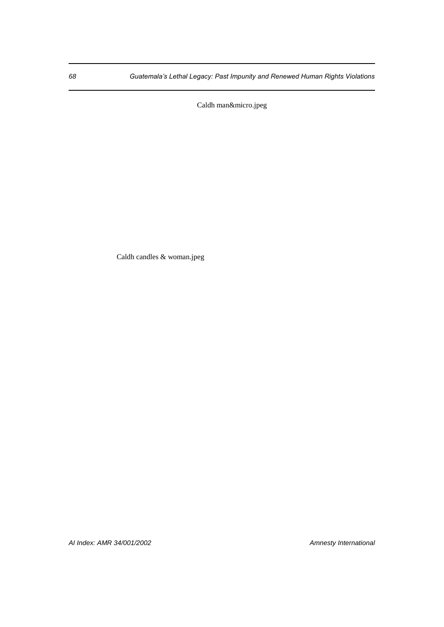Caldh man&micro.jpeg

Caldh candles & woman.jpeg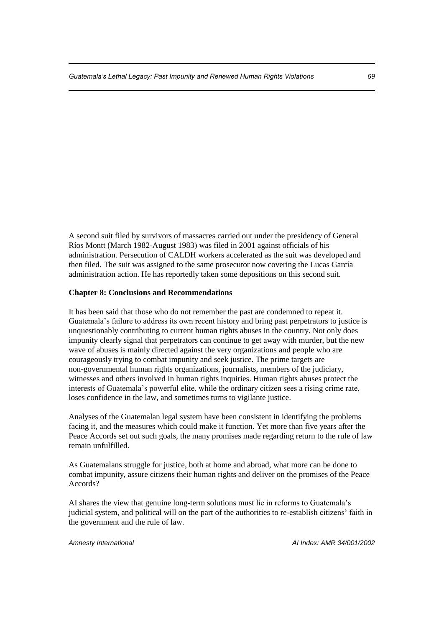A second suit filed by survivors of massacres carried out under the presidency of General Ríos Montt (March 1982-August 1983) was filed in 2001 against officials of his administration. Persecution of CALDH workers accelerated as the suit was developed and then filed. The suit was assigned to the same prosecutor now covering the Lucas García administration action. He has reportedly taken some depositions on this second suit.

#### **Chapter 8: Conclusions and Recommendations**

It has been said that those who do not remember the past are condemned to repeat it. Guatemala's failure to address its own recent history and bring past perpetrators to justice is unquestionably contributing to current human rights abuses in the country. Not only does impunity clearly signal that perpetrators can continue to get away with murder, but the new wave of abuses is mainly directed against the very organizations and people who are courageously trying to combat impunity and seek justice. The prime targets are non-governmental human rights organizations, journalists, members of the judiciary, witnesses and others involved in human rights inquiries. Human rights abuses protect the interests of Guatemala's powerful elite, while the ordinary citizen sees a rising crime rate, loses confidence in the law, and sometimes turns to vigilante justice.

Analyses of the Guatemalan legal system have been consistent in identifying the problems facing it, and the measures which could make it function. Yet more than five years after the Peace Accords set out such goals, the many promises made regarding return to the rule of law remain unfulfilled.

As Guatemalans struggle for justice, both at home and abroad, what more can be done to combat impunity, assure citizens their human rights and deliver on the promises of the Peace Accords?

AI shares the view that genuine long-term solutions must lie in reforms to Guatemala's judicial system, and political will on the part of the authorities to re-establish citizens' faith in the government and the rule of law.

*Amnesty International AI Index: AMR 34/001/2002*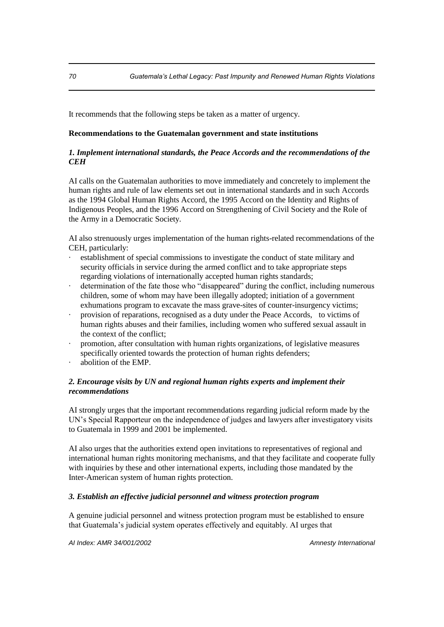It recommends that the following steps be taken as a matter of urgency.

## **Recommendations to the Guatemalan government and state institutions**

## *1. Implement international standards, the Peace Accords and the recommendations of the CEH*

AI calls on the Guatemalan authorities to move immediately and concretely to implement the human rights and rule of law elements set out in international standards and in such Accords as the 1994 Global Human Rights Accord, the 1995 Accord on the Identity and Rights of Indigenous Peoples, and the 1996 Accord on Strengthening of Civil Society and the Role of the Army in a Democratic Society.

AI also strenuously urges implementation of the human rights-related recommendations of the CEH, particularly:

- establishment of special commissions to investigate the conduct of state military and security officials in service during the armed conflict and to take appropriate steps regarding violations of internationally accepted human rights standards;
- · determination of the fate those who "disappeared" during the conflict, including numerous children, some of whom may have been illegally adopted; initiation of a government exhumations program to excavate the mass grave-sites of counter-insurgency victims;
- · provision of reparations, recognised as a duty under the Peace Accords, to victims of human rights abuses and their families, including women who suffered sexual assault in the context of the conflict;
- · promotion, after consultation with human rights organizations, of legislative measures specifically oriented towards the protection of human rights defenders;
- abolition of the EMP.

## *2. Encourage visits by UN and regional human rights experts and implement their recommendations*

AI strongly urges that the important recommendations regarding judicial reform made by the UN's Special Rapporteur on the independence of judges and lawyers after investigatory visits to Guatemala in 1999 and 2001 be implemented.

AI also urges that the authorities extend open invitations to representatives of regional and international human rights monitoring mechanisms, and that they facilitate and cooperate fully with inquiries by these and other international experts, including those mandated by the Inter-American system of human rights protection.

## *3. Establish an effective judicial personnel and witness protection program*

A genuine judicial personnel and witness protection program must be established to ensure that Guatemala's judicial system operates effectively and equitably. AI urges that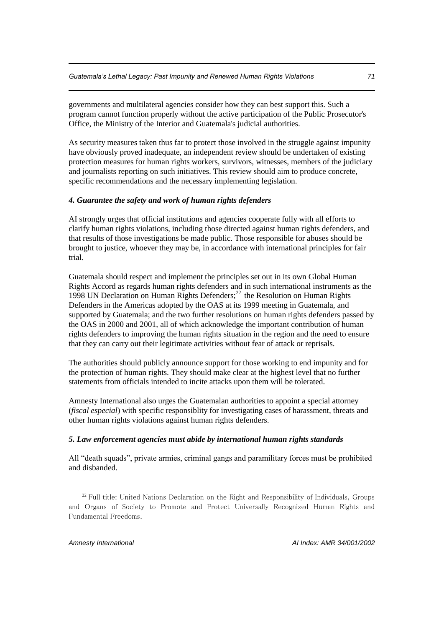governments and multilateral agencies consider how they can best support this. Such a program cannot function properly without the active participation of the Public Prosecutor's Office, the Ministry of the Interior and Guatemala's judicial authorities.

As security measures taken thus far to protect those involved in the struggle against impunity have obviously proved inadequate, an independent review should be undertaken of existing protection measures for human rights workers, survivors, witnesses, members of the judiciary and journalists reporting on such initiatives. This review should aim to produce concrete, specific recommendations and the necessary implementing legislation.

### *4. Guarantee the safety and work of human rights defenders*

AI strongly urges that official institutions and agencies cooperate fully with all efforts to clarify human rights violations, including those directed against human rights defenders, and that results of those investigations be made public. Those responsible for abuses should be brought to justice, whoever they may be, in accordance with international principles for fair trial.

Guatemala should respect and implement the principles set out in its own Global Human Rights Accord as regards human rights defenders and in such international instruments as the 1998 UN Declaration on Human Rights Defenders; $^{22}$  the Resolution on Human Rights Defenders in the Americas adopted by the OAS at its 1999 meeting in Guatemala, and supported by Guatemala; and the two further resolutions on human rights defenders passed by the OAS in 2000 and 2001, all of which acknowledge the important contribution of human rights defenders to improving the human rights situation in the region and the need to ensure that they can carry out their legitimate activities without fear of attack or reprisals.

The authorities should publicly announce support for those working to end impunity and for the protection of human rights. They should make clear at the highest level that no further statements from officials intended to incite attacks upon them will be tolerated.

Amnesty International also urges the Guatemalan authorities to appoint a special attorney (*fiscal especial*) with specific responsiblity for investigating cases of harassment, threats and other human rights violations against human rights defenders.

#### *5. Law enforcement agencies must abide by international human rights standards*

All "death squads", private armies, criminal gangs and paramilitary forces must be prohibited and disbanded.

 $\overline{a}$ 

<sup>&</sup>lt;sup>22</sup> Full title: United Nations Declaration on the Right and Responsibility of Individuals, Groups and Organs of Society to Promote and Protect Universally Recognized Human Rights and Fundamental Freedoms.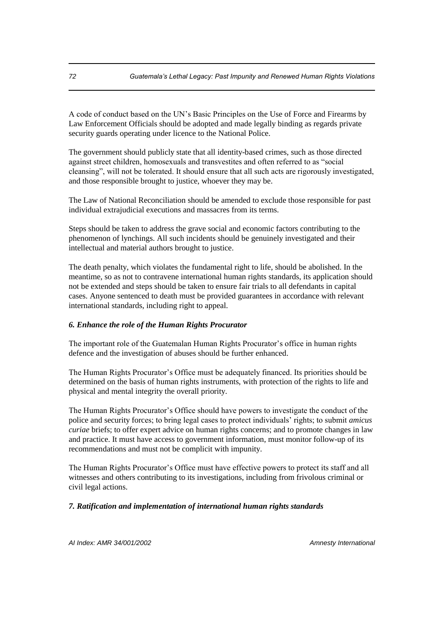A code of conduct based on the UN's Basic Principles on the Use of Force and Firearms by Law Enforcement Officials should be adopted and made legally binding as regards private security guards operating under licence to the National Police.

The government should publicly state that all identity-based crimes, such as those directed against street children, homosexuals and transvestites and often referred to as "social cleansing", will not be tolerated. It should ensure that all such acts are rigorously investigated, and those responsible brought to justice, whoever they may be.

The Law of National Reconciliation should be amended to exclude those responsible for past individual extrajudicial executions and massacres from its terms.

Steps should be taken to address the grave social and economic factors contributing to the phenomenon of lynchings. All such incidents should be genuinely investigated and their intellectual and material authors brought to justice.

The death penalty, which violates the fundamental right to life, should be abolished. In the meantime, so as not to contravene international human rights standards, its application should not be extended and steps should be taken to ensure fair trials to all defendants in capital cases. Anyone sentenced to death must be provided guarantees in accordance with relevant international standards, including right to appeal.

# *6. Enhance the role of the Human Rights Procurator*

The important role of the Guatemalan Human Rights Procurator's office in human rights defence and the investigation of abuses should be further enhanced.

The Human Rights Procurator's Office must be adequately financed. Its priorities should be determined on the basis of human rights instruments, with protection of the rights to life and physical and mental integrity the overall priority.

The Human Rights Procurator's Office should have powers to investigate the conduct of the police and security forces; to bring legal cases to protect individuals' rights; to submit *amicus curiae* briefs; to offer expert advice on human rights concerns; and to promote changes in law and practice. It must have access to government information, must monitor follow-up of its recommendations and must not be complicit with impunity.

The Human Rights Procurator's Office must have effective powers to protect its staff and all witnesses and others contributing to its investigations, including from frivolous criminal or civil legal actions.

# *7. Ratification and implementation of international human rights standards*

*AI Index: AMR 34/001/2002 Amnesty International*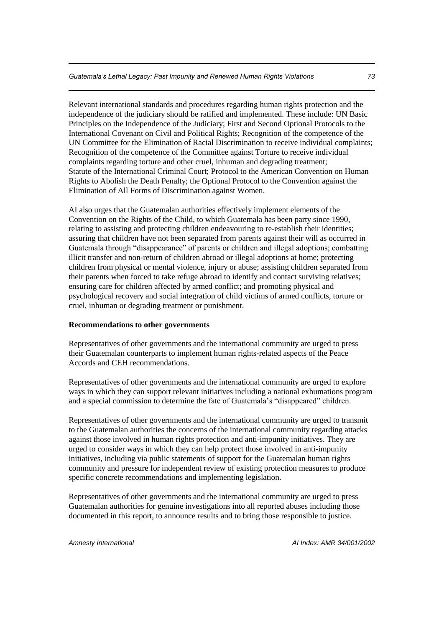Relevant international standards and procedures regarding human rights protection and the independence of the judiciary should be ratified and implemented. These include: UN Basic Principles on the Independence of the Judiciary; First and Second Optional Protocols to the International Covenant on Civil and Political Rights; Recognition of the competence of the UN Committee for the Elimination of Racial Discrimination to receive individual complaints; Recognition of the competence of the Committee against Torture to receive individual complaints regarding torture and other cruel, inhuman and degrading treatment; Statute of the International Criminal Court; Protocol to the American Convention on Human Rights to Abolish the Death Penalty; the Optional Protocol to the Convention against the Elimination of All Forms of Discrimination against Women.

AI also urges that the Guatemalan authorities effectively implement elements of the Convention on the Rights of the Child, to which Guatemala has been party since 1990, relating to assisting and protecting children endeavouring to re-establish their identities; assuring that children have not been separated from parents against their will as occurred in Guatemala through "disappearance" of parents or children and illegal adoptions; combatting illicit transfer and non-return of children abroad or illegal adoptions at home; protecting children from physical or mental violence, injury or abuse; assisting children separated from their parents when forced to take refuge abroad to identify and contact surviving relatives; ensuring care for children affected by armed conflict; and promoting physical and psychological recovery and social integration of child victims of armed conflicts, torture or cruel, inhuman or degrading treatment or punishment.

### **Recommendations to other governments**

Representatives of other governments and the international community are urged to press their Guatemalan counterparts to implement human rights-related aspects of the Peace Accords and CEH recommendations.

Representatives of other governments and the international community are urged to explore ways in which they can support relevant initiatives including a national exhumations program and a special commission to determine the fate of Guatemala's "disappeared" children.

Representatives of other governments and the international community are urged to transmit to the Guatemalan authorities the concerns of the international community regarding attacks against those involved in human rights protection and anti-impunity initiatives. They are urged to consider ways in which they can help protect those involved in anti-impunity initiatives, including via public statements of support for the Guatemalan human rights community and pressure for independent review of existing protection measures to produce specific concrete recommendations and implementing legislation.

Representatives of other governments and the international community are urged to press Guatemalan authorities for genuine investigations into all reported abuses including those documented in this report, to announce results and to bring those responsible to justice.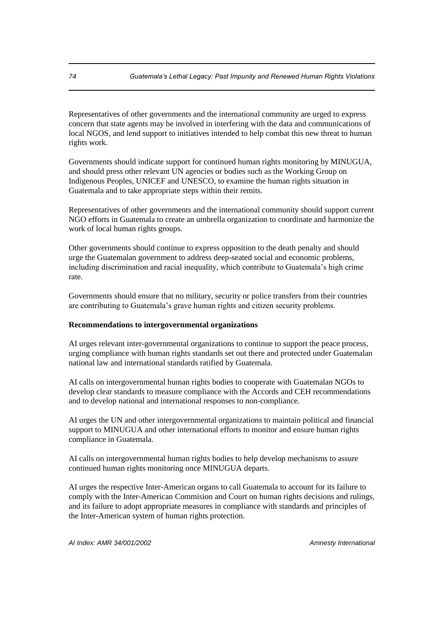Representatives of other governments and the international community are urged to express concern that state agents may be involved in interfering with the data and communications of local NGOS, and lend support to initiatives intended to help combat this new threat to human rights work.

Governments should indicate support for continued human rights monitoring by MINUGUA, and should press other relevant UN agencies or bodies such as the Working Group on Indigenous Peoples, UNICEF and UNESCO, to examine the human rights situation in Guatemala and to take appropriate steps within their remits.

Representatives of other governments and the international community should support current NGO efforts in Guatemala to create an umbrella organization to coordinate and harmonize the work of local human rights groups.

Other governments should continue to express opposition to the death penalty and should urge the Guatemalan government to address deep-seated social and economic problems, including discrimination and racial inequality, which contribute to Guatemala's high crime rate.

Governments should ensure that no military, security or police transfers from their countries are contributing to Guatemala's grave human rights and citizen security problems.

### **Recommendations to intergovernmental organizations**

AI urges relevant inter-governmental organizations to continue to support the peace process, urging compliance with human rights standards set out there and protected under Guatemalan national law and international standards ratified by Guatemala.

AI calls on intergovernmental human rights bodies to cooperate with Guatemalan NGOs to develop clear standards to measure compliance with the Accords and CEH recommendations and to develop national and international responses to non-compliance.

AI urges the UN and other intergovernmental organizations to maintain political and financial support to MINUGUA and other international efforts to monitor and ensure human rights compliance in Guatemala.

AI calls on intergovernmental human rights bodies to help develop mechanisms to assure continued human rights monitoring once MINUGUA departs.

AI urges the respective Inter-American organs to call Guatemala to account for its failure to comply with the Inter-American Commision and Court on human rights decisions and rulings, and its failure to adopt appropriate measures in compliance with standards and principles of the Inter-American system of human rights protection.

*AI Index: AMR 34/001/2002 Amnesty International*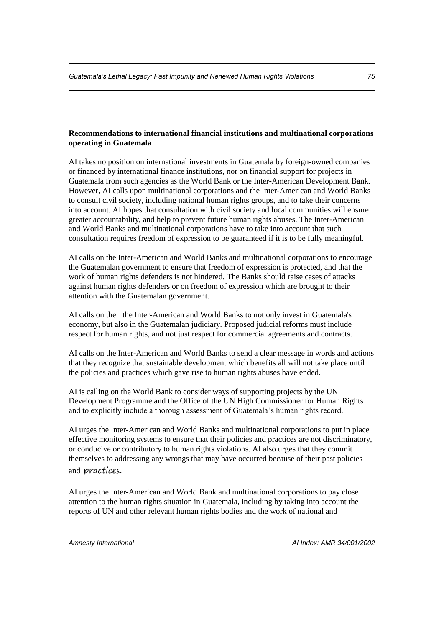# **Recommendations to international financial institutions and multinational corporations operating in Guatemala**

AI takes no position on international investments in Guatemala by foreign-owned companies or financed by international finance institutions, nor on financial support for projects in Guatemala from such agencies as the World Bank or the Inter-American Development Bank. However, AI calls upon multinational corporations and the Inter-American and World Banks to consult civil society, including national human rights groups, and to take their concerns into account. AI hopes that consultation with civil society and local communities will ensure greater accountability, and help to prevent future human rights abuses. The Inter-American and World Banks and multinational corporations have to take into account that such consultation requires freedom of expression to be guaranteed if it is to be fully meaningful.

AI calls on the Inter-American and World Banks and multinational corporations to encourage the Guatemalan government to ensure that freedom of expression is protected, and that the work of human rights defenders is not hindered. The Banks should raise cases of attacks against human rights defenders or on freedom of expression which are brought to their attention with the Guatemalan government.

AI calls on the the Inter-American and World Banks to not only invest in Guatemala's economy, but also in the Guatemalan judiciary. Proposed judicial reforms must include respect for human rights, and not just respect for commercial agreements and contracts.

AI calls on the Inter-American and World Banks to send a clear message in words and actions that they recognize that sustainable development which benefits all will not take place until the policies and practices which gave rise to human rights abuses have ended.

AI is calling on the World Bank to consider ways of supporting projects by the UN Development Programme and the Office of the UN High Commissioner for Human Rights and to explicitly include a thorough assessment of Guatemala's human rights record.

AI urges the Inter-American and World Banks and multinational corporations to put in place effective monitoring systems to ensure that their policies and practices are not discriminatory, or conducive or contributory to human rights violations. AI also urges that they commit themselves to addressing any wrongs that may have occurred because of their past policies and practices.

AI urges the Inter-American and World Bank and multinational corporations to pay close attention to the human rights situation in Guatemala, including by taking into account the reports of UN and other relevant human rights bodies and the work of national and